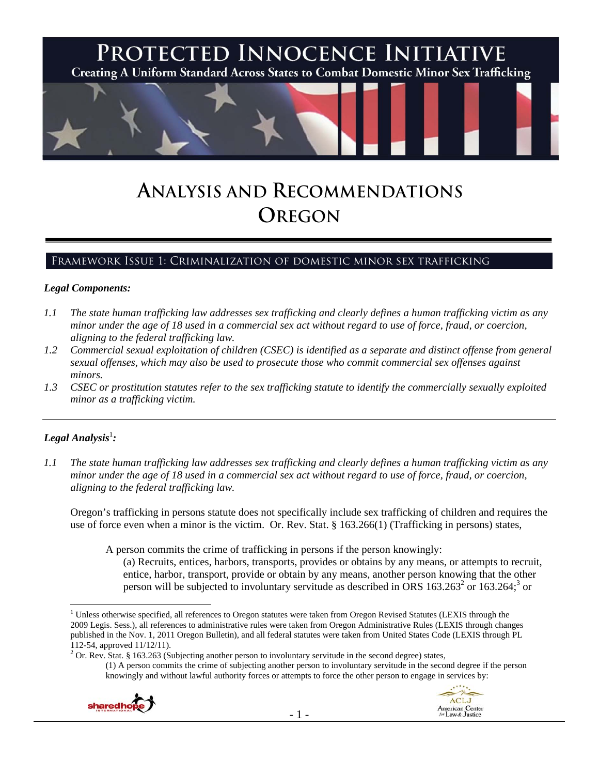

# **ANALYSIS AND RECOMMENDATIONS OREGON**

## Framework Issue 1: Criminalization of domestic minor sex trafficking

#### *Legal Components:*

- *1.1 The state human trafficking law addresses sex trafficking and clearly defines a human trafficking victim as any minor under the age of 18 used in a commercial sex act without regard to use of force, fraud, or coercion, aligning to the federal trafficking law.*
- *1.2 Commercial sexual exploitation of children (CSEC) is identified as a separate and distinct offense from general sexual offenses, which may also be used to prosecute those who commit commercial sex offenses against minors.*
- *1.3 CSEC or prostitution statutes refer to the sex trafficking statute to identify the commercially sexually exploited minor as a trafficking victim.*

## $\bm{L}$ egal Analysis $^{\rm l}$ :

*1.1 The state human trafficking law addresses sex trafficking and clearly defines a human trafficking victim as any minor under the age of 18 used in a commercial sex act without regard to use of force, fraud, or coercion, aligning to the federal trafficking law.* 

Oregon's trafficking in persons statute does not specifically include sex trafficking of children and requires the use of force even when a minor is the victim. Or. Rev. Stat. § 163.266(1) (Trafficking in persons) states,

A person commits the crime of trafficking in persons if the person knowingly:

(a) Recruits, entices, harbors, transports, provides or obtains by any means, or attempts to recruit, entice, harbor, transport, provide or obtain by any means, another person knowing that the other person will be subjected to involuntary servitude as described in ORS  $163.263<sup>2</sup>$  or  $163.264$ ; or

<sup>&</sup>lt;sup>2</sup> Or. Rev. Stat. § 163.263 (Subjecting another person to involuntary servitude in the second degree) states, (1) A person commits the crime of subjecting another person to involuntary servitude in the second degree if the person knowingly and without lawful authority forces or attempts to force the other person to engage in services by:





 $\overline{a}$  $1$  Unless otherwise specified, all references to Oregon statutes were taken from Oregon Revised Statutes (LEXIS through the 2009 Legis. Sess.), all references to administrative rules were taken from Oregon Administrative Rules (LEXIS through changes published in the Nov. 1, 2011 Oregon Bulletin), and all federal statutes were taken from United States Code (LEXIS through PL 112-54, approved 11/12/11).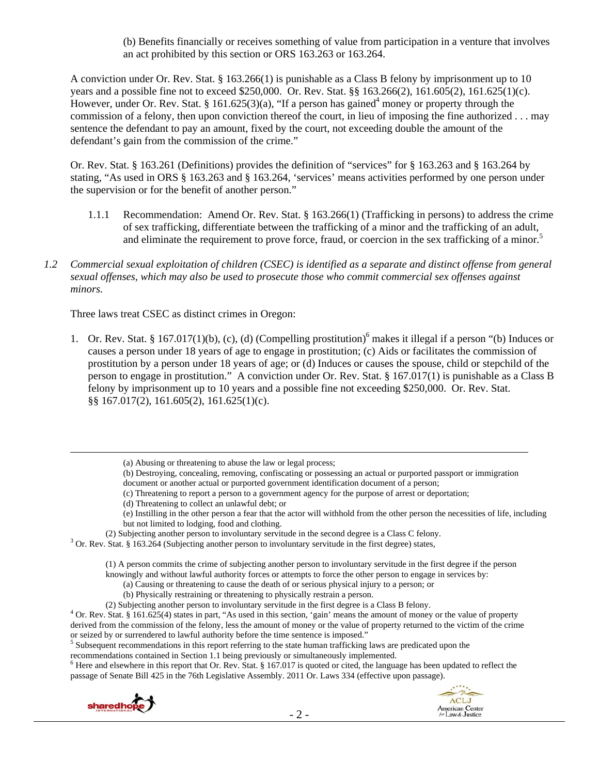(b) Benefits financially or receives something of value from participation in a venture that involves an act prohibited by this section or ORS 163.263 or 163.264.

A conviction under Or. Rev. Stat. § 163.266(1) is punishable as a Class B felony by imprisonment up to 10 years and a possible fine not to exceed \$250,000. Or. Rev. Stat. §§ 163.266(2), 161.605(2), 161.625(1)(c). However, under Or. Rev. Stat. § 161.625(3)(a), "If a person has gained<sup>4</sup> money or property through the commission of a felony, then upon conviction thereof the court, in lieu of imposing the fine authorized . . . may sentence the defendant to pay an amount, fixed by the court, not exceeding double the amount of the defendant's gain from the commission of the crime."

Or. Rev. Stat. § 163.261 (Definitions) provides the definition of "services" for § 163.263 and § 163.264 by stating, "As used in ORS § 163.263 and § 163.264, 'services' means activities performed by one person under the supervision or for the benefit of another person."

- 1.1.1 Recommendation: Amend Or. Rev. Stat. § 163.266(1) (Trafficking in persons) to address the crime of sex trafficking, differentiate between the trafficking of a minor and the trafficking of an adult, and eliminate the requirement to prove force, fraud, or coercion in the sex trafficking of a minor.<sup>5</sup>
- *1.2 Commercial sexual exploitation of children (CSEC) is identified as a separate and distinct offense from general sexual offenses, which may also be used to prosecute those who commit commercial sex offenses against minors.*

Three laws treat CSEC as distinct crimes in Oregon:

1. Or. Rev. Stat. § 167.017(1)(b), (c), (d) (Compelling prostitution)<sup>6</sup> makes it illegal if a person "(b) Induces or causes a person under 18 years of age to engage in prostitution; (c) Aids or facilitates the commission of prostitution by a person under 18 years of age; or (d) Induces or causes the spouse, child or stepchild of the person to engage in prostitution." A conviction under Or. Rev. Stat. § 167.017(1) is punishable as a Class B felony by imprisonment up to 10 years and a possible fine not exceeding \$250,000. Or. Rev. Stat. §§ 167.017(2), 161.605(2), 161.625(1)(c).

- (b) Destroying, concealing, removing, confiscating or possessing an actual or purported passport or immigration document or another actual or purported government identification document of a person;
- (c) Threatening to report a person to a government agency for the purpose of arrest or deportation;
- (d) Threatening to collect an unlawful debt; or
- (e) Instilling in the other person a fear that the actor will withhold from the other person the necessities of life, including but not limited to lodging, food and clothing.
- (2) Subjecting another person to involuntary servitude in the second degree is a Class C felony. 3

<sup>3</sup> Or. Rev. Stat. § 163.264 (Subjecting another person to involuntary servitude in the first degree) states,

(1) A person commits the crime of subjecting another person to involuntary servitude in the first degree if the person

- knowingly and without lawful authority forces or attempts to force the other person to engage in services by:
	- (a) Causing or threatening to cause the death of or serious physical injury to a person; or
	- (b) Physically restraining or threatening to physically restrain a person.
- 

<sup>5</sup> Subsequent recommendations in this report referring to the state human trafficking laws are predicated upon the recommendations contained in Section 1.1 being previously or simultaneously implemented. 6

 $6$  Here and elsewhere in this report that Or. Rev. Stat. § 167.017 is quoted or cited, the language has been updated to reflect the passage of Senate Bill 425 in the 76th Legislative Assembly. 2011 Or. Laws 334 (effective upon passage).





 <sup>(</sup>a) Abusing or threatening to abuse the law or legal process;

<sup>(2)</sup> Subjecting another person to involuntary servitude in the first degree is a Class B felony.<br><sup>4</sup> Or. Rev. Stat. § 161.625(4) states in part, "As used in this section, 'gain' means the amount of money or the value of pro derived from the commission of the felony, less the amount of money or the value of property returned to the victim of the crime or seized by or surrendered to lawful authority before the time sentence is imposed."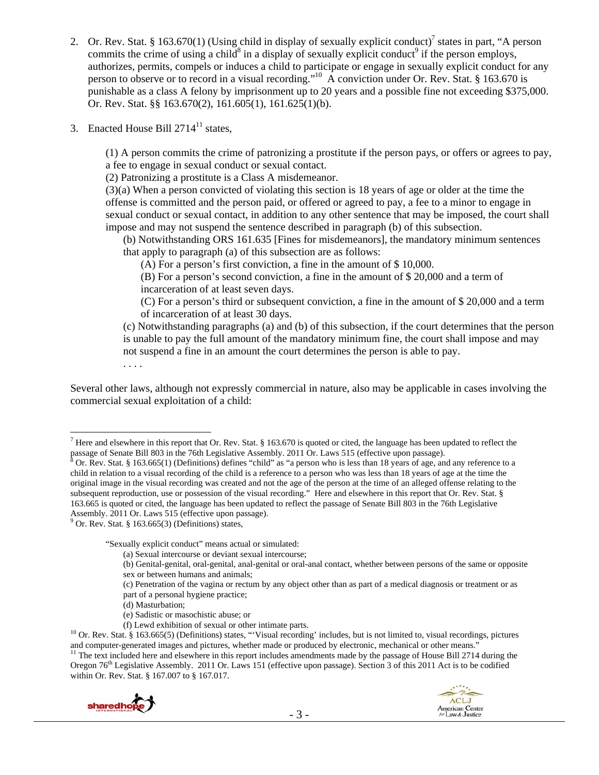- 2. Or. Rev. Stat. § 163.670(1) (Using child in display of sexually explicit conduct)<sup>7</sup> states in part, "A person commits the crime of using a child<sup>8</sup> in a display of sexually explicit conduct<sup>9</sup> if the person employs, authorizes, permits, compels or induces a child to participate or engage in sexually explicit conduct for any person to observe or to record in a visual recording."<sup>10</sup> A conviction under Or. Rev. Stat. § 163.670 is punishable as a class A felony by imprisonment up to 20 years and a possible fine not exceeding \$375,000. Or. Rev. Stat. §§ 163.670(2), 161.605(1), 161.625(1)(b).
- 3. Enacted House Bill  $2714<sup>11</sup>$  states,

(1) A person commits the crime of patronizing a prostitute if the person pays, or offers or agrees to pay, a fee to engage in sexual conduct or sexual contact.

(2) Patronizing a prostitute is a Class A misdemeanor.

(3)(a) When a person convicted of violating this section is 18 years of age or older at the time the offense is committed and the person paid, or offered or agreed to pay, a fee to a minor to engage in sexual conduct or sexual contact, in addition to any other sentence that may be imposed, the court shall impose and may not suspend the sentence described in paragraph (b) of this subsection.

(b) Notwithstanding ORS 161.635 [Fines for misdemeanors], the mandatory minimum sentences that apply to paragraph (a) of this subsection are as follows:

(A) For a person's first conviction, a fine in the amount of \$ 10,000.

(B) For a person's second conviction, a fine in the amount of \$ 20,000 and a term of incarceration of at least seven days.

(C) For a person's third or subsequent conviction, a fine in the amount of \$ 20,000 and a term of incarceration of at least 30 days.

(c) Notwithstanding paragraphs (a) and (b) of this subsection, if the court determines that the person is unable to pay the full amount of the mandatory minimum fine, the court shall impose and may not suspend a fine in an amount the court determines the person is able to pay.

. . . .

 $\overline{a}$ 

Several other laws, although not expressly commercial in nature, also may be applicable in cases involving the commercial sexual exploitation of a child:

"Sexually explicit conduct" means actual or simulated:

- (a) Sexual intercourse or deviant sexual intercourse;
- (b) Genital-genital, oral-genital, anal-genital or oral-anal contact, whether between persons of the same or opposite sex or between humans and animals;
- (c) Penetration of the vagina or rectum by any object other than as part of a medical diagnosis or treatment or as
- part of a personal hygiene practice;
- (d) Masturbation;
- (e) Sadistic or masochistic abuse; or
- 

<sup>11</sup> The text included here and elsewhere in this report includes amendments made by the passage of House Bill 2714 during the Oregon 76<sup>th</sup> Legislative Assembly. 2011 Or. Laws 151 (effective upon passage). Section 3 of this 2011 Act is to be codified within Or. Rev. Stat. § 167.007 to § 167.017.





<sup>&</sup>lt;sup>7</sup> Here and elsewhere in this report that Or. Rev. Stat. § 163.670 is quoted or cited, the language has been updated to reflect the passage of Senate Bill 803 in the 76th Legislative Assembly. 2011 Or. Laws 515 (effective upon passage).

Or. Rev. Stat. § 163.665(1) (Definitions) defines "child" as "a person who is less than 18 years of age, and any reference to a child in relation to a visual recording of the child is a reference to a person who was less than 18 years of age at the time the original image in the visual recording was created and not the age of the person at the time of an alleged offense relating to the subsequent reproduction, use or possession of the visual recording." Here and elsewhere in this report that Or. Rev. Stat. § 163.665 is quoted or cited, the language has been updated to reflect the passage of Senate Bill 803 in the 76th Legislative Assembly. 2011 Or. Laws 515 (effective upon passage).

 $9^9$  Or. Rev. Stat. § 163.665(3) (Definitions) states,

<sup>(</sup>f) Lewd exhibition of sexual or other intimate parts.<br><sup>10</sup> Or. Rev. Stat. § 163.665(5) (Definitions) states, "'Visual recording' includes, but is not limited to, visual recordings, pictures and computer-generated images and pictures, whether made or produced by electronic, mechanical or other means."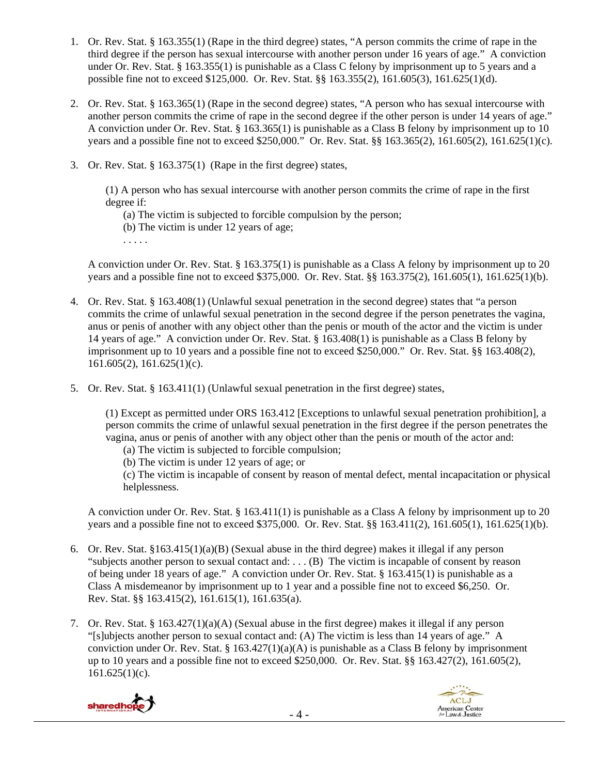- 1. Or. Rev. Stat. § 163.355(1) (Rape in the third degree) states, "A person commits the crime of rape in the third degree if the person has sexual intercourse with another person under 16 years of age." A conviction under Or. Rev. Stat. § 163.355(1) is punishable as a Class C felony by imprisonment up to 5 years and a possible fine not to exceed \$125,000. Or. Rev. Stat. §§ 163.355(2), 161.605(3), 161.625(1)(d).
- 2. Or. Rev. Stat. § 163.365(1) (Rape in the second degree) states, "A person who has sexual intercourse with another person commits the crime of rape in the second degree if the other person is under 14 years of age." A conviction under Or. Rev. Stat. § 163.365(1) is punishable as a Class B felony by imprisonment up to 10 years and a possible fine not to exceed \$250,000." Or. Rev. Stat. §§ 163.365(2), 161.605(2), 161.625(1)(c).
- 3. Or. Rev. Stat. § 163.375(1) (Rape in the first degree) states,

(1) A person who has sexual intercourse with another person commits the crime of rape in the first degree if:

- (a) The victim is subjected to forcible compulsion by the person;
- (b) The victim is under 12 years of age;
- . . . . .

A conviction under Or. Rev. Stat. § 163.375(1) is punishable as a Class A felony by imprisonment up to 20 years and a possible fine not to exceed \$375,000. Or. Rev. Stat. §§ 163.375(2), 161.605(1), 161.625(1)(b).

- 4. Or. Rev. Stat. § 163.408(1) (Unlawful sexual penetration in the second degree) states that "a person commits the crime of unlawful sexual penetration in the second degree if the person penetrates the vagina, anus or penis of another with any object other than the penis or mouth of the actor and the victim is under 14 years of age." A conviction under Or. Rev. Stat. § 163.408(1) is punishable as a Class B felony by imprisonment up to 10 years and a possible fine not to exceed \$250,000." Or. Rev. Stat. §§ 163.408(2),  $161.605(2)$ ,  $161.625(1)(c)$ .
- 5. Or. Rev. Stat. § 163.411(1) (Unlawful sexual penetration in the first degree) states,

(1) Except as permitted under ORS 163.412 [Exceptions to unlawful sexual penetration prohibition], a person commits the crime of unlawful sexual penetration in the first degree if the person penetrates the vagina, anus or penis of another with any object other than the penis or mouth of the actor and:

- (a) The victim is subjected to forcible compulsion;
- (b) The victim is under 12 years of age; or

(c) The victim is incapable of consent by reason of mental defect, mental incapacitation or physical helplessness.

A conviction under Or. Rev. Stat. § 163.411(1) is punishable as a Class A felony by imprisonment up to 20 years and a possible fine not to exceed \$375,000. Or. Rev. Stat. §§ 163.411(2), 161.605(1), 161.625(1)(b).

- 6. Or. Rev. Stat. §163.415(1)(a)(B) (Sexual abuse in the third degree) makes it illegal if any person "subjects another person to sexual contact and: . . . (B) The victim is incapable of consent by reason of being under 18 years of age." A conviction under Or. Rev. Stat. § 163.415(1) is punishable as a Class A misdemeanor by imprisonment up to 1 year and a possible fine not to exceed \$6,250. Or. Rev. Stat. §§ 163.415(2), 161.615(1), 161.635(a).
- 7. Or. Rev. Stat. § 163.427(1)(a)(A) (Sexual abuse in the first degree) makes it illegal if any person "[s]ubjects another person to sexual contact and: (A) The victim is less than 14 years of age." A conviction under Or. Rev. Stat. §  $163.427(1)(a)(A)$  is punishable as a Class B felony by imprisonment up to 10 years and a possible fine not to exceed \$250,000. Or. Rev. Stat. §§ 163.427(2), 161.605(2), 161.625(1)(c).

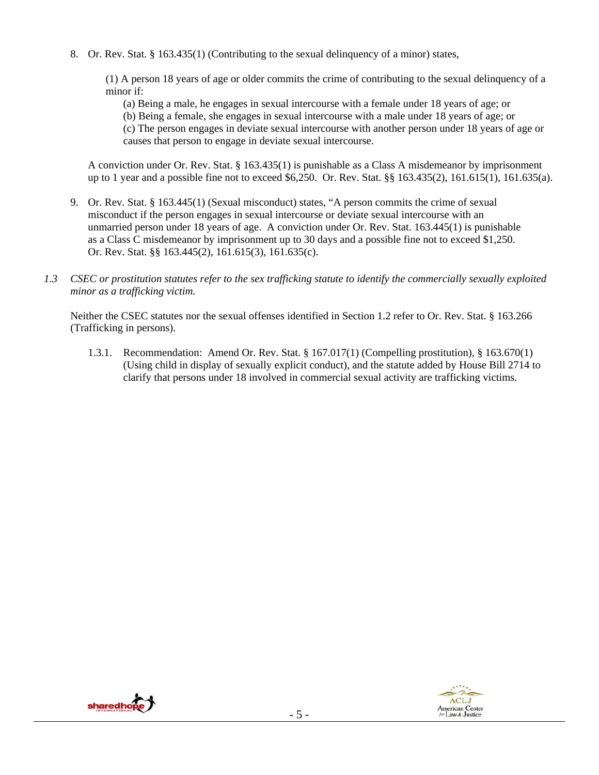8. Or. Rev. Stat. § 163.435(1) (Contributing to the sexual delinquency of a minor) states,

(1) A person 18 years of age or older commits the crime of contributing to the sexual delinquency of a minor if:

(a) Being a male, he engages in sexual intercourse with a female under 18 years of age; or

(b) Being a female, she engages in sexual intercourse with a male under 18 years of age; or (c) The person engages in deviate sexual intercourse with another person under 18 years of age or causes that person to engage in deviate sexual intercourse.

A conviction under Or. Rev. Stat. § 163.435(1) is punishable as a Class A misdemeanor by imprisonment up to 1 year and a possible fine not to exceed \$6,250. Or. Rev. Stat. §§ 163.435(2), 161.615(1), 161.635(a).

- 9. Or. Rev. Stat. § 163.445(1) (Sexual misconduct) states, "A person commits the crime of sexual misconduct if the person engages in sexual intercourse or deviate sexual intercourse with an unmarried person under 18 years of age. A conviction under Or. Rev. Stat. 163.445(1) is punishable as a Class C misdemeanor by imprisonment up to 30 days and a possible fine not to exceed \$1,250. Or. Rev. Stat. §§ 163.445(2), 161.615(3), 161.635(c).
- *1.3 CSEC or prostitution statutes refer to the sex trafficking statute to identify the commercially sexually exploited minor as a trafficking victim.*

Neither the CSEC statutes nor the sexual offenses identified in Section 1.2 refer to Or. Rev. Stat. § 163.266 (Trafficking in persons).

1.3.1. Recommendation: Amend Or. Rev. Stat. § 167.017(1) (Compelling prostitution), § 163.670(1) (Using child in display of sexually explicit conduct), and the statute added by House Bill 2714 to clarify that persons under 18 involved in commercial sexual activity are trafficking victims.



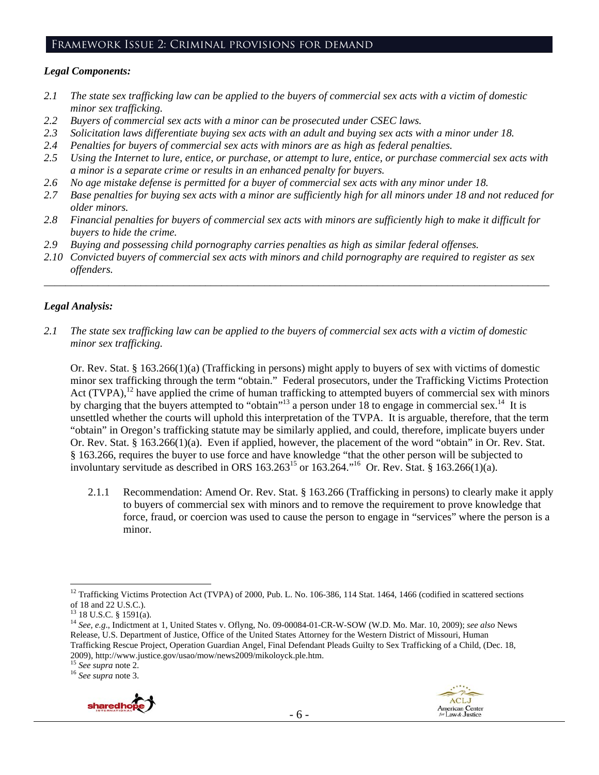## Framework Issue 2: Criminal provisions for demand

#### *Legal Components:*

- *2.1 The state sex trafficking law can be applied to the buyers of commercial sex acts with a victim of domestic minor sex trafficking.*
- *2.2 Buyers of commercial sex acts with a minor can be prosecuted under CSEC laws.*
- *2.3 Solicitation laws differentiate buying sex acts with an adult and buying sex acts with a minor under 18.*
- *2.4 Penalties for buyers of commercial sex acts with minors are as high as federal penalties.*
- *2.5 Using the Internet to lure, entice, or purchase, or attempt to lure, entice, or purchase commercial sex acts with a minor is a separate crime or results in an enhanced penalty for buyers.*
- *2.6 No age mistake defense is permitted for a buyer of commercial sex acts with any minor under 18.*
- *2.7 Base penalties for buying sex acts with a minor are sufficiently high for all minors under 18 and not reduced for older minors.*
- *2.8 Financial penalties for buyers of commercial sex acts with minors are sufficiently high to make it difficult for buyers to hide the crime.*
- *2.9 Buying and possessing child pornography carries penalties as high as similar federal offenses.*
- *2.10 Convicted buyers of commercial sex acts with minors and child pornography are required to register as sex offenders.*

\_\_\_\_\_\_\_\_\_\_\_\_\_\_\_\_\_\_\_\_\_\_\_\_\_\_\_\_\_\_\_\_\_\_\_\_\_\_\_\_\_\_\_\_\_\_\_\_\_\_\_\_\_\_\_\_\_\_\_\_\_\_\_\_\_\_\_\_\_\_\_\_\_\_\_\_\_\_\_\_\_\_\_\_\_\_\_\_\_\_\_\_\_\_

#### *Legal Analysis:*

*2.1 The state sex trafficking law can be applied to the buyers of commercial sex acts with a victim of domestic minor sex trafficking.* 

Or. Rev. Stat. § 163.266(1)(a) (Trafficking in persons) might apply to buyers of sex with victims of domestic minor sex trafficking through the term "obtain." Federal prosecutors, under the Trafficking Victims Protection Act (TVPA),<sup>12</sup> have applied the crime of human trafficking to attempted buyers of commercial sex with minors by charging that the buyers attempted to "obtain"<sup>13</sup> a person under 18 to engage in commercial sex.<sup>14</sup> It is unsettled whether the courts will uphold this interpretation of the TVPA. It is arguable, therefore, that the term "obtain" in Oregon's trafficking statute may be similarly applied, and could, therefore, implicate buyers under Or. Rev. Stat. § 163.266(1)(a). Even if applied, however, the placement of the word "obtain" in Or. Rev. Stat. § 163.266, requires the buyer to use force and have knowledge "that the other person will be subjected to involuntary servitude as described in ORS  $163.263^{15}$  or  $163.264$ .<sup>16</sup> Or. Rev. Stat. §  $163.266(1)(a)$ .

2.1.1 Recommendation: Amend Or. Rev. Stat. § 163.266 (Trafficking in persons) to clearly make it apply to buyers of commercial sex with minors and to remove the requirement to prove knowledge that force, fraud, or coercion was used to cause the person to engage in "services" where the person is a minor.



<sup>&</sup>lt;sup>12</sup> Trafficking Victims Protection Act (TVPA) of 2000, Pub. L. No. 106-386, 114 Stat. 1464, 1466 (codified in scattered sections of 18 and 22 U.S.C.).

 $13$  18 U.S.C. § 1591(a).

<sup>14</sup> *See, e.g*., Indictment at 1, United States v. Oflyng, No. 09-00084-01-CR-W-SOW (W.D. Mo. Mar. 10, 2009); *see also* News Release, U.S. Department of Justice, Office of the United States Attorney for the Western District of Missouri, Human Trafficking Rescue Project, Operation Guardian Angel, Final Defendant Pleads Guilty to Sex Trafficking of a Child, (Dec. 18, 2009), http://www.justice.gov/usao/mow/news2009/mikoloyck.ple.htm. 15 *See supra* note 2. 16 *See supra* note 3.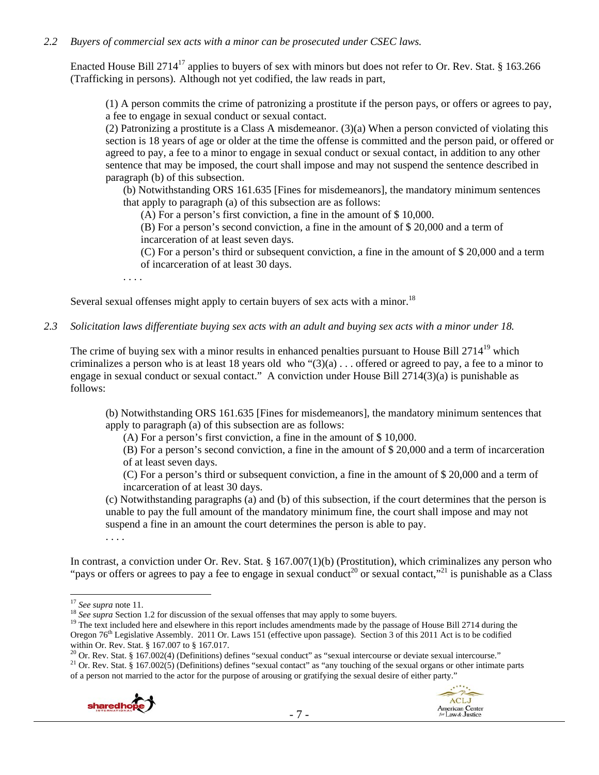#### *2.2 Buyers of commercial sex acts with a minor can be prosecuted under CSEC laws.*

Enacted House Bill 2714<sup>17</sup> applies to buyers of sex with minors but does not refer to Or. Rev. Stat. § 163.266 (Trafficking in persons). Although not yet codified, the law reads in part,

(1) A person commits the crime of patronizing a prostitute if the person pays, or offers or agrees to pay, a fee to engage in sexual conduct or sexual contact.

(2) Patronizing a prostitute is a Class A misdemeanor.  $(3)(a)$  When a person convicted of violating this section is 18 years of age or older at the time the offense is committed and the person paid, or offered or agreed to pay, a fee to a minor to engage in sexual conduct or sexual contact, in addition to any other sentence that may be imposed, the court shall impose and may not suspend the sentence described in paragraph (b) of this subsection.

(b) Notwithstanding ORS 161.635 [Fines for misdemeanors], the mandatory minimum sentences that apply to paragraph (a) of this subsection are as follows:

(A) For a person's first conviction, a fine in the amount of \$ 10,000.

(B) For a person's second conviction, a fine in the amount of \$ 20,000 and a term of incarceration of at least seven days.

(C) For a person's third or subsequent conviction, a fine in the amount of \$ 20,000 and a term of incarceration of at least 30 days.

. . . .

Several sexual offenses might apply to certain buyers of sex acts with a minor.<sup>18</sup>

*2.3 Solicitation laws differentiate buying sex acts with an adult and buying sex acts with a minor under 18.* 

The crime of buying sex with a minor results in enhanced penalties pursuant to House Bill 2714<sup>19</sup> which criminalizes a person who is at least 18 years old who " $(3)(a)$ ... offered or agreed to pay, a fee to a minor to engage in sexual conduct or sexual contact." A conviction under House Bill 2714(3)(a) is punishable as follows:

(b) Notwithstanding ORS 161.635 [Fines for misdemeanors], the mandatory minimum sentences that apply to paragraph (a) of this subsection are as follows:

(A) For a person's first conviction, a fine in the amount of \$ 10,000.

(B) For a person's second conviction, a fine in the amount of \$ 20,000 and a term of incarceration of at least seven days.

(C) For a person's third or subsequent conviction, a fine in the amount of \$ 20,000 and a term of incarceration of at least 30 days.

(c) Notwithstanding paragraphs (a) and (b) of this subsection, if the court determines that the person is unable to pay the full amount of the mandatory minimum fine, the court shall impose and may not suspend a fine in an amount the court determines the person is able to pay.

. . . .

In contrast, a conviction under Or. Rev. Stat. § 167.007(1)(b) (Prostitution), which criminalizes any person who "pays or offers or agrees to pay a fee to engage in sexual conduct<sup>20</sup> or sexual contact,"<sup>21</sup> is punishable as a Class

 $\overline{a}$ 

<sup>17</sup> See supra note 11.<br><sup>18</sup> See supra Section 1.2 for discussion of the sexual offenses that may apply to some buyers.<br><sup>19</sup> The text included here and elsewhere in this report includes amendments made by the passage of H Oregon 76<sup>th</sup> Legislative Assembly. 2011 Or. Laws 151 (effective upon passage). Section 3 of this 2011 Act is to be codified within Or. Rev. Stat. § 167.007 to § 167.017.<br><sup>20</sup> Or. Rev. Stat. § 167.002(4) (Definitions) defines "sexual conduct" as "sexual intercourse or deviate sexual intercourse."

<sup>21</sup> Or. Rev. Stat. § 167.002(5) (Definitions) defines "sexual contact" as "any touching of the sexual organs or other intimate parts of a person not married to the actor for the purpose of arousing or gratifying the sexual desire of either party."



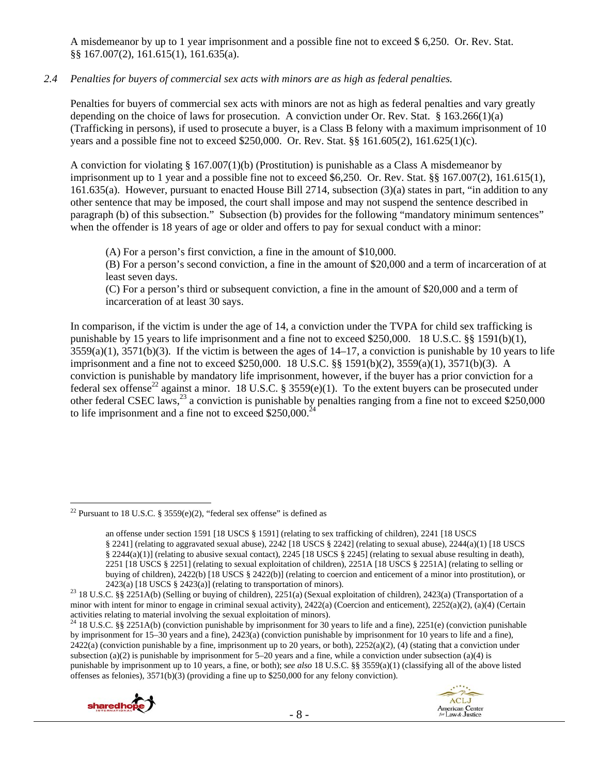A misdemeanor by up to 1 year imprisonment and a possible fine not to exceed \$ 6,250. Or. Rev. Stat. §§ 167.007(2), 161.615(1), 161.635(a).

## *2.4 Penalties for buyers of commercial sex acts with minors are as high as federal penalties.*

Penalties for buyers of commercial sex acts with minors are not as high as federal penalties and vary greatly depending on the choice of laws for prosecution. A conviction under Or. Rev. Stat. § 163.266(1)(a) (Trafficking in persons), if used to prosecute a buyer, is a Class B felony with a maximum imprisonment of 10 years and a possible fine not to exceed \$250,000. Or. Rev. Stat. §§ 161.605(2), 161.625(1)(c).

A conviction for violating § 167.007(1)(b) (Prostitution) is punishable as a Class A misdemeanor by imprisonment up to 1 year and a possible fine not to exceed \$6,250. Or. Rev. Stat. §§ 167.007(2), 161.615(1), 161.635(a). However, pursuant to enacted House Bill 2714, subsection (3)(a) states in part, "in addition to any other sentence that may be imposed, the court shall impose and may not suspend the sentence described in paragraph (b) of this subsection." Subsection (b) provides for the following "mandatory minimum sentences" when the offender is 18 years of age or older and offers to pay for sexual conduct with a minor:

(A) For a person's first conviction, a fine in the amount of \$10,000.

(B) For a person's second conviction, a fine in the amount of \$20,000 and a term of incarceration of at least seven days.

(C) For a person's third or subsequent conviction, a fine in the amount of \$20,000 and a term of incarceration of at least 30 says.

In comparison, if the victim is under the age of 14, a conviction under the TVPA for child sex trafficking is punishable by 15 years to life imprisonment and a fine not to exceed \$250,000. 18 U.S.C. §§ 1591(b)(1),  $3559(a)(1)$ ,  $3571(b)(3)$ . If the victim is between the ages of  $14-17$ , a conviction is punishable by 10 years to life imprisonment and a fine not to exceed \$250,000. 18 U.S.C. §§ 1591(b)(2), 3559(a)(1), 3571(b)(3). A conviction is punishable by mandatory life imprisonment, however, if the buyer has a prior conviction for a federal sex offense<sup>22</sup> against a minor. 18 U.S.C. § 3559(e)(1). To the extent buyers can be prosecuted under other federal CSEC laws,<sup>23</sup> a conviction is punishable by penalties ranging from a fine not to exceed \$250,000 to life imprisonment and a fine not to exceed  $$250,000.<sup>2</sup>$ 

<sup>&</sup>lt;sup>24</sup> 18 U.S.C. §§ 2251A(b) (conviction punishable by imprisonment for 30 years to life and a fine), 2251(e) (conviction punishable by imprisonment for 15–30 years and a fine), 2423(a) (conviction punishable by imprisonment for 10 years to life and a fine),  $2422(a)$  (conviction punishable by a fine, imprisonment up to 20 years, or both),  $2252(a)(2)$ , (4) (stating that a conviction under subsection (a)(2) is punishable by imprisonment for 5–20 years and a fine, while a conviction under subsection (a)(4) is punishable by imprisonment up to 10 years, a fine, or both); s*ee also* 18 U.S.C. §§ 3559(a)(1) (classifying all of the above listed offenses as felonies), 3571(b)(3) (providing a fine up to \$250,000 for any felony conviction).





<sup>&</sup>lt;sup>22</sup> Pursuant to 18 U.S.C. § 3559(e)(2), "federal sex offense" is defined as

an offense under section 1591 [18 USCS § 1591] (relating to sex trafficking of children), 2241 [18 USCS § 2241] (relating to aggravated sexual abuse), 2242 [18 USCS § 2242] (relating to sexual abuse), 2244(a)(1) [18 USCS § 2244(a)(1)] (relating to abusive sexual contact), 2245 [18 USCS § 2245] (relating to sexual abuse resulting in death), 2251 [18 USCS § 2251] (relating to sexual exploitation of children), 2251A [18 USCS § 2251A] (relating to selling or buying of children), 2422(b) [18 USCS § 2422(b)] (relating to coercion and enticement of a minor into prostitution), or

<sup>2423(</sup>a) [18 USCS § 2423(a)] (relating to transportation of minors).<br><sup>23</sup> 18 U.S.C. §§ 2251A(b) (Selling or buying of children), 2251(a) (Sexual exploitation of children), 2423(a) (Transportation of a minor with intent for minor to engage in criminal sexual activity), 2422(a) (Coercion and enticement), 2252(a)(2), (a)(4) (Certain activities relating to material involving the sexual exploitation of minors).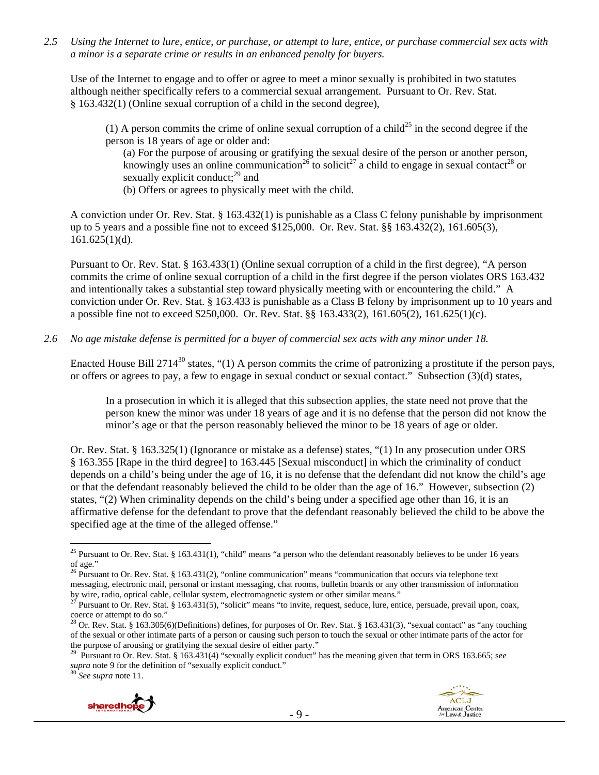*2.5 Using the Internet to lure, entice, or purchase, or attempt to lure, entice, or purchase commercial sex acts with a minor is a separate crime or results in an enhanced penalty for buyers.* 

Use of the Internet to engage and to offer or agree to meet a minor sexually is prohibited in two statutes although neither specifically refers to a commercial sexual arrangement. Pursuant to Or. Rev. Stat. § 163.432(1) (Online sexual corruption of a child in the second degree),

(1) A person commits the crime of online sexual corruption of a child<sup>25</sup> in the second degree if the person is 18 years of age or older and:

(a) For the purpose of arousing or gratifying the sexual desire of the person or another person, knowingly uses an online communication<sup>26</sup> to solicit<sup>27</sup> a child to engage in sexual contact<sup>28</sup> or sexually explicit conduct; $^{29}$  and

(b) Offers or agrees to physically meet with the child.

A conviction under Or. Rev. Stat. § 163.432(1) is punishable as a Class C felony punishable by imprisonment up to 5 years and a possible fine not to exceed \$125,000. Or. Rev. Stat. §§ 163.432(2), 161.605(3),  $161.625(1)(d)$ .

Pursuant to Or. Rev. Stat. § 163.433(1) (Online sexual corruption of a child in the first degree), "A person commits the crime of online sexual corruption of a child in the first degree if the person violates ORS 163.432 and intentionally takes a substantial step toward physically meeting with or encountering the child." A conviction under Or. Rev. Stat. § 163.433 is punishable as a Class B felony by imprisonment up to 10 years and a possible fine not to exceed \$250,000. Or. Rev. Stat. §§ 163.433(2), 161.605(2), 161.625(1)(c).

*2.6 No age mistake defense is permitted for a buyer of commercial sex acts with any minor under 18.* 

Enacted House Bill 2714<sup>30</sup> states, "(1) A person commits the crime of patronizing a prostitute if the person pays, or offers or agrees to pay, a few to engage in sexual conduct or sexual contact." Subsection (3)(d) states,

In a prosecution in which it is alleged that this subsection applies, the state need not prove that the person knew the minor was under 18 years of age and it is no defense that the person did not know the minor's age or that the person reasonably believed the minor to be 18 years of age or older.

Or. Rev. Stat. § 163.325(1) (Ignorance or mistake as a defense) states, "(1) In any prosecution under ORS § 163.355 [Rape in the third degree] to 163.445 [Sexual misconduct] in which the criminality of conduct depends on a child's being under the age of 16, it is no defense that the defendant did not know the child's age or that the defendant reasonably believed the child to be older than the age of 16." However, subsection (2) states, "(2) When criminality depends on the child's being under a specified age other than 16, it is an affirmative defense for the defendant to prove that the defendant reasonably believed the child to be above the specified age at the time of the alleged offense."





<sup>&</sup>lt;sup>25</sup> Pursuant to Or. Rev. Stat. § 163.431(1), "child" means "a person who the defendant reasonably believes to be under 16 years of age."

<sup>&</sup>lt;sup>26</sup> Pursuant to Or. Rev. Stat. § 163.431(2), "online communication" means "communication that occurs via telephone text messaging, electronic mail, personal or instant messaging, chat rooms, bulletin boards or any other transmission of information by wire, radio, optical cable, cellular system, electromagnetic system or other similar means."

<sup>&</sup>lt;sup>27</sup> Pursuant to Or. Rev. Stat. § 163.431(5), "solicit" means "to invite, request, seduce, lure, entice, persuade, prevail upon, coax, coerce or attempt to do so."

<sup>&</sup>lt;sup>28</sup> Or. Rev. Stat. § 163.305(6)(Definitions) defines, for purposes of Or. Rev. Stat. § 163.431(3), "sexual contact" as "any touching of the sexual or other intimate parts of a person or causing such person to touch the sexual or other intimate parts of the actor for the purpose of arousing or gratifying the sexual desire of either party."

<sup>29</sup> Pursuant to Or. Rev. Stat. § 163.431(4) "sexually explicit conduct" has the meaning given that term in ORS 163.665; s*ee supra* note 9 for the definition of "sexually explicit conduct." 30 *See supra* note 11.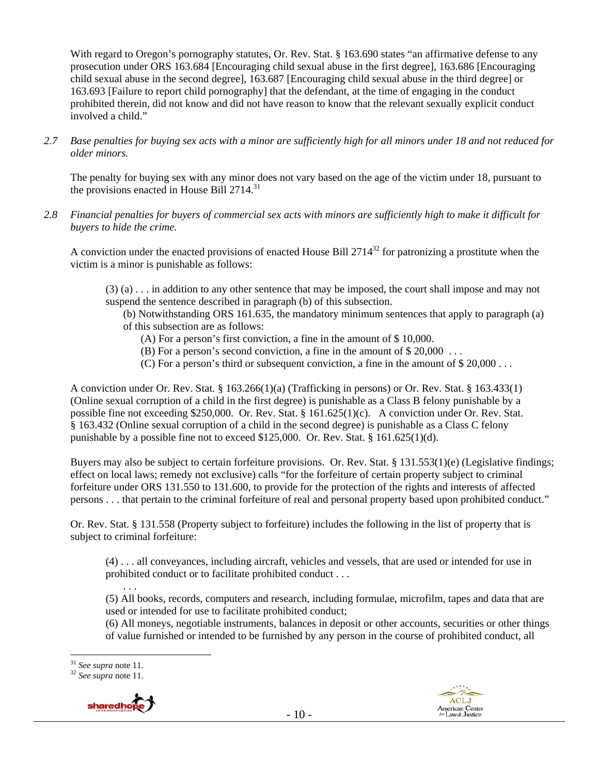With regard to Oregon's pornography statutes, Or. Rev. Stat. § 163.690 states "an affirmative defense to any prosecution under ORS 163.684 [Encouraging child sexual abuse in the first degree], 163.686 [Encouraging child sexual abuse in the second degree], 163.687 [Encouraging child sexual abuse in the third degree] or 163.693 [Failure to report child pornography] that the defendant, at the time of engaging in the conduct prohibited therein, did not know and did not have reason to know that the relevant sexually explicit conduct involved a child."

*2.7 Base penalties for buying sex acts with a minor are sufficiently high for all minors under 18 and not reduced for older minors.* 

The penalty for buying sex with any minor does not vary based on the age of the victim under 18, pursuant to the provisions enacted in House Bill 2714.<sup>31</sup>

*2.8 Financial penalties for buyers of commercial sex acts with minors are sufficiently high to make it difficult for buyers to hide the crime.* 

A conviction under the enacted provisions of enacted House Bill  $2714^{32}$  for patronizing a prostitute when the victim is a minor is punishable as follows:

(3) (a) . . . in addition to any other sentence that may be imposed, the court shall impose and may not suspend the sentence described in paragraph (b) of this subsection.

(b) Notwithstanding ORS 161.635, the mandatory minimum sentences that apply to paragraph (a) of this subsection are as follows:

- (A) For a person's first conviction, a fine in the amount of \$ 10,000.
- (B) For a person's second conviction, a fine in the amount of \$ 20,000 . . .
- (C) For a person's third or subsequent conviction, a fine in the amount of \$ 20,000 . . .

A conviction under Or. Rev. Stat. § 163.266(1)(a) (Trafficking in persons) or Or. Rev. Stat. § 163.433(1) (Online sexual corruption of a child in the first degree) is punishable as a Class B felony punishable by a possible fine not exceeding \$250,000. Or. Rev. Stat. § 161.625(1)(c). A conviction under Or. Rev. Stat. § 163.432 (Online sexual corruption of a child in the second degree) is punishable as a Class C felony punishable by a possible fine not to exceed  $$125,000$ . Or. Rev. Stat.  $§$  161.625(1)(d).

Buyers may also be subject to certain forfeiture provisions. Or. Rev. Stat. § 131.553(1)(e) (Legislative findings; effect on local laws; remedy not exclusive) calls "for the forfeiture of certain property subject to criminal forfeiture under ORS 131.550 to 131.600, to provide for the protection of the rights and interests of affected persons . . . that pertain to the criminal forfeiture of real and personal property based upon prohibited conduct."

Or. Rev. Stat. § 131.558 (Property subject to forfeiture) includes the following in the list of property that is subject to criminal forfeiture:

(4) . . . all conveyances, including aircraft, vehicles and vessels, that are used or intended for use in prohibited conduct or to facilitate prohibited conduct . . .

. . . (5) All books, records, computers and research, including formulae, microfilm, tapes and data that are used or intended for use to facilitate prohibited conduct;

(6) All moneys, negotiable instruments, balances in deposit or other accounts, securities or other things of value furnished or intended to be furnished by any person in the course of prohibited conduct, all

<sup>31</sup> *See supra* note 11. 32 *See supra* note 11.



 $31$  See supra note 11.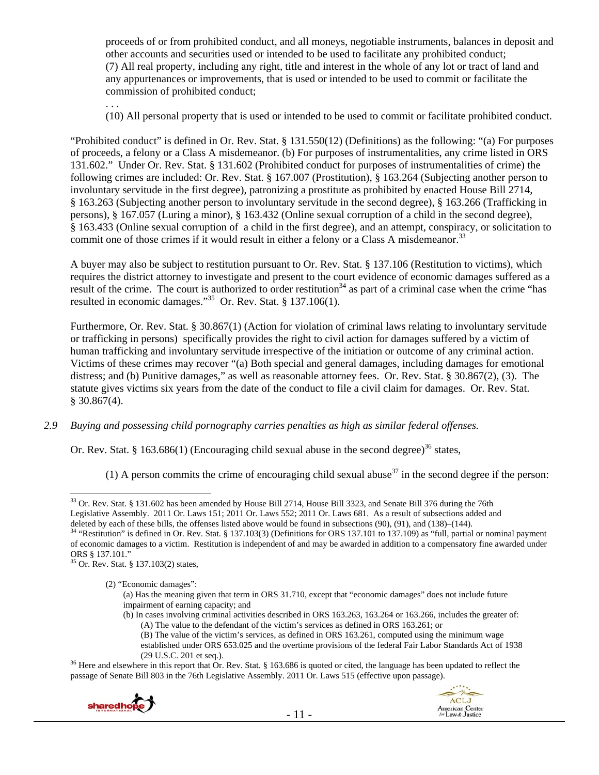proceeds of or from prohibited conduct, and all moneys, negotiable instruments, balances in deposit and other accounts and securities used or intended to be used to facilitate any prohibited conduct; (7) All real property, including any right, title and interest in the whole of any lot or tract of land and any appurtenances or improvements, that is used or intended to be used to commit or facilitate the commission of prohibited conduct;

(10) All personal property that is used or intended to be used to commit or facilitate prohibited conduct.

"Prohibited conduct" is defined in Or. Rev. Stat. § 131.550(12) (Definitions) as the following: "(a) For purposes of proceeds, a felony or a Class A misdemeanor. (b) For purposes of instrumentalities, any crime listed in ORS 131.602." Under Or. Rev. Stat. § 131.602 (Prohibited conduct for purposes of instrumentalities of crime) the following crimes are included: Or. Rev. Stat. § 167.007 (Prostitution), § 163.264 (Subjecting another person to involuntary servitude in the first degree), patronizing a prostitute as prohibited by enacted House Bill 2714, § 163.263 (Subjecting another person to involuntary servitude in the second degree), § 163.266 (Trafficking in persons), § 167.057 (Luring a minor), § 163.432 (Online sexual corruption of a child in the second degree), § 163.433 (Online sexual corruption of a child in the first degree), and an attempt, conspiracy, or solicitation to commit one of those crimes if it would result in either a felony or a Class A misdemeanor.<sup>33</sup>

A buyer may also be subject to restitution pursuant to Or. Rev. Stat. § 137.106 (Restitution to victims), which requires the district attorney to investigate and present to the court evidence of economic damages suffered as a result of the crime. The court is authorized to order restitution<sup>34</sup> as part of a criminal case when the crime "has resulted in economic damages."<sup>35</sup> Or. Rev. Stat. § 137.106(1).

Furthermore, Or. Rev. Stat. § 30.867(1) (Action for violation of criminal laws relating to involuntary servitude or trafficking in persons) specifically provides the right to civil action for damages suffered by a victim of human trafficking and involuntary servitude irrespective of the initiation or outcome of any criminal action. Victims of these crimes may recover "(a) Both special and general damages, including damages for emotional distress; and (b) Punitive damages," as well as reasonable attorney fees. Or. Rev. Stat. § 30.867(2), (3). The statute gives victims six years from the date of the conduct to file a civil claim for damages. Or. Rev. Stat.  $$30.867(4)$ .

*2.9 Buying and possessing child pornography carries penalties as high as similar federal offenses.* 

Or. Rev. Stat. § 163.686(1) (Encouraging child sexual abuse in the second degree)<sup>36</sup> states,

(1) A person commits the crime of encouraging child sexual abuse<sup>37</sup> in the second degree if the person:

35 Or. Rev. Stat. § 137.103(2) states,

. . .

(b) In cases involving criminal activities described in ORS 163.263, 163.264 or 163.266, includes the greater of: (A) The value to the defendant of the victim's services as defined in ORS 163.261; or

(29 U.S.C. 201 et seq.).<br><sup>36</sup> Here and elsewhere in this report that Or. Rev. Stat. § 163.686 is quoted or cited, the language has been updated to reflect the passage of Senate Bill 803 in the 76th Legislative Assembly. 2011 Or. Laws 515 (effective upon passage).





 $\overline{a}$ <sup>33</sup> Or. Rev. Stat. § 131.602 has been amended by House Bill 2714, House Bill 3323, and Senate Bill 376 during the 76th Legislative Assembly. 2011 Or. Laws 151; 2011 Or. Laws 552; 2011 Or. Laws 681. As a result of subsections added and deleted by each of these bills, the offenses listed above would be found in subsections (90), (91), and (138)–(144).<br><sup>34</sup> "Restitution" is defined in Or. Rev. Stat. § 137.103(3) (Definitions for ORS 137.101 to 137.109) as

of economic damages to a victim. Restitution is independent of and may be awarded in addition to a compensatory fine awarded under ORS § 137.101."

<sup>(2) &</sup>quot;Economic damages":

<sup>(</sup>a) Has the meaning given that term in ORS 31.710, except that "economic damages" does not include future impairment of earning capacity; and

<sup>(</sup>B) The value of the victim's services, as defined in ORS 163.261, computed using the minimum wage established under ORS 653.025 and the overtime provisions of the federal Fair Labor Standards Act of 1938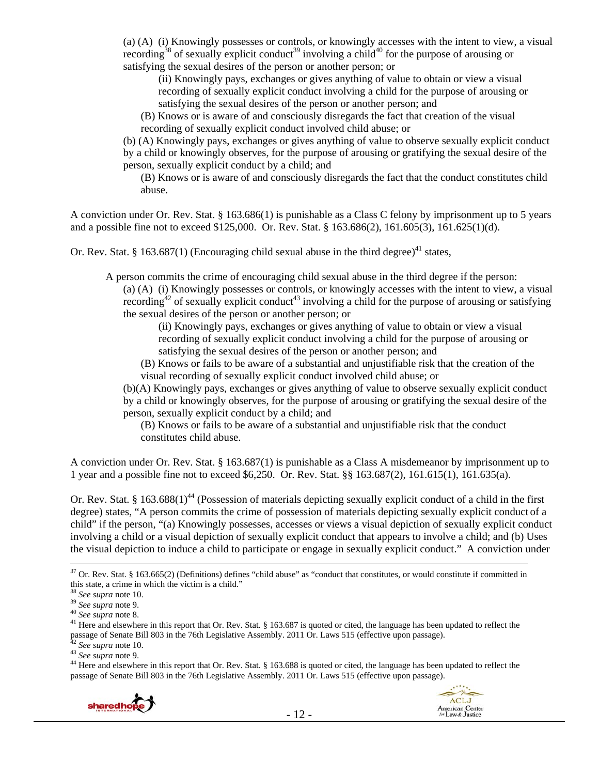(a) (A) (i) Knowingly possesses or controls, or knowingly accesses with the intent to view, a visual recording<sup>38</sup> of sexually explicit conduct<sup>39</sup> involving a child<sup>40</sup> for the purpose of arousing or satisfying the sexual desires of the person or another person; or

(ii) Knowingly pays, exchanges or gives anything of value to obtain or view a visual recording of sexually explicit conduct involving a child for the purpose of arousing or satisfying the sexual desires of the person or another person; and

(B) Knows or is aware of and consciously disregards the fact that creation of the visual recording of sexually explicit conduct involved child abuse; or

(b) (A) Knowingly pays, exchanges or gives anything of value to observe sexually explicit conduct by a child or knowingly observes, for the purpose of arousing or gratifying the sexual desire of the person, sexually explicit conduct by a child; and

(B) Knows or is aware of and consciously disregards the fact that the conduct constitutes child abuse.

A conviction under Or. Rev. Stat. § 163.686(1) is punishable as a Class C felony by imprisonment up to 5 years and a possible fine not to exceed \$125,000. Or. Rev. Stat. § 163.686(2), 161.605(3), 161.625(1)(d).

Or. Rev. Stat. § 163.687(1) (Encouraging child sexual abuse in the third degree)<sup>41</sup> states,

A person commits the crime of encouraging child sexual abuse in the third degree if the person:

(a) (A) (i) Knowingly possesses or controls, or knowingly accesses with the intent to view, a visual recording<sup>42</sup> of sexually explicit conduct<sup>43</sup> involving a child for the purpose of arousing or satisfying the sexual desires of the person or another person; or

(ii) Knowingly pays, exchanges or gives anything of value to obtain or view a visual recording of sexually explicit conduct involving a child for the purpose of arousing or satisfying the sexual desires of the person or another person; and

(B) Knows or fails to be aware of a substantial and unjustifiable risk that the creation of the visual recording of sexually explicit conduct involved child abuse; or

(b)(A) Knowingly pays, exchanges or gives anything of value to observe sexually explicit conduct by a child or knowingly observes, for the purpose of arousing or gratifying the sexual desire of the person, sexually explicit conduct by a child; and

(B) Knows or fails to be aware of a substantial and unjustifiable risk that the conduct constitutes child abuse.

A conviction under Or. Rev. Stat. § 163.687(1) is punishable as a Class A misdemeanor by imprisonment up to 1 year and a possible fine not to exceed \$6,250. Or. Rev. Stat. §§ 163.687(2), 161.615(1), 161.635(a).

Or. Rev. Stat. § 163.688(1)<sup>44</sup> (Possession of materials depicting sexually explicit conduct of a child in the first degree) states, "A person commits the crime of possession of materials depicting sexually explicit conduct of a child" if the person, "(a) Knowingly possesses, accesses or views a visual depiction of sexually explicit conduct involving a child or a visual depiction of sexually explicit conduct that appears to involve a child; and (b) Uses the visual depiction to induce a child to participate or engage in sexually explicit conduct." A conviction under

passage of Senate Bill 803 in the 76th Legislative Assembly. 2011 Or. Laws 515 (effective upon passage).





 $37$  Or. Rev. Stat. § 163.665(2) (Definitions) defines "child abuse" as "conduct that constitutes, or would constitute if committed in this state, a crime in which the victim is a child."  $38 \text{ See } \text{supra}$  note 10.

<sup>&</sup>lt;sup>39</sup> *See supra* note 9.<br><sup>40</sup> *See supra* note 8.<br><sup>40</sup> *See supra* note 8.<br><sup>41</sup> Here and elsewhere in this report that Or. Rev. Stat. § 163.687 is quoted or cited, the language has been updated to reflect the passage of Senate Bill 803 in the 76th Legislative Assembly. 2011 Or. Laws 515 (effective upon passage).<br><sup>42</sup> See supra note 10.<br><sup>43</sup> See supra note 9.<br><sup>44</sup> Here and elsewhere in this report that Or. Rev. Stat. § 163.688 i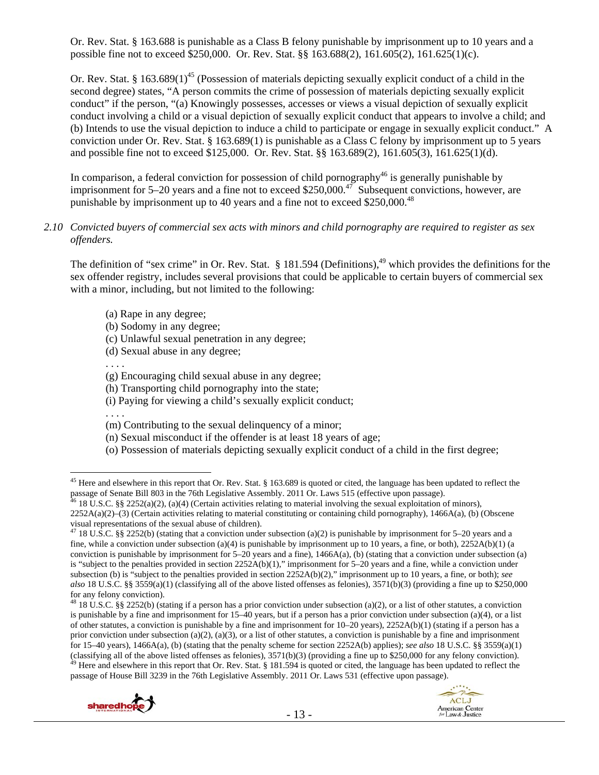Or. Rev. Stat. § 163.688 is punishable as a Class B felony punishable by imprisonment up to 10 years and a possible fine not to exceed \$250,000. Or. Rev. Stat. §§ 163.688(2), 161.605(2), 161.625(1)(c).

Or. Rev. Stat. § 163.689(1)<sup>45</sup> (Possession of materials depicting sexually explicit conduct of a child in the second degree) states, "A person commits the crime of possession of materials depicting sexually explicit conduct" if the person, "(a) Knowingly possesses, accesses or views a visual depiction of sexually explicit conduct involving a child or a visual depiction of sexually explicit conduct that appears to involve a child; and (b) Intends to use the visual depiction to induce a child to participate or engage in sexually explicit conduct." A conviction under Or. Rev. Stat. § 163.689(1) is punishable as a Class C felony by imprisonment up to 5 years and possible fine not to exceed \$125,000. Or. Rev. Stat. §§ 163.689(2), 161.605(3), 161.625(1)(d).

In comparison, a federal conviction for possession of child pornography<sup>46</sup> is generally punishable by imprisonment for 5–20 years and a fine not to exceed \$250,000.<sup>47</sup> Subsequent convictions, however, are punishable by imprisonment up to 40 years and a fine not to exceed \$250,000.<sup>48</sup>

#### *2.10 Convicted buyers of commercial sex acts with minors and child pornography are required to register as sex offenders.*

The definition of "sex crime" in Or. Rev. Stat.  $\S$  181.594 (Definitions),  $49$  which provides the definitions for the sex offender registry, includes several provisions that could be applicable to certain buyers of commercial sex with a minor, including, but not limited to the following:

- (a) Rape in any degree;
- (b) Sodomy in any degree;
- (c) Unlawful sexual penetration in any degree;
- (d) Sexual abuse in any degree;

. . . .

- (g) Encouraging child sexual abuse in any degree;
- (h) Transporting child pornography into the state;
- (i) Paying for viewing a child's sexually explicit conduct;

. . . .

 $\overline{a}$ 

- (m) Contributing to the sexual delinquency of a minor;
- (n) Sexual misconduct if the offender is at least 18 years of age;
- (o) Possession of materials depicting sexually explicit conduct of a child in the first degree;

passage of House Bill 3239 in the 76th Legislative Assembly. 2011 Or. Laws 531 (effective upon passage).





<sup>&</sup>lt;sup>45</sup> Here and elsewhere in this report that Or. Rev. Stat. § 163.689 is quoted or cited, the language has been updated to reflect the passage of Senate Bill 803 in the 76th Legislative Assembly. 2011 Or. Laws 515 (effective upon passage).<br><sup>46</sup> 18 U.S.C. §§ 2252(a)(2), (a)(4) (Certain activities relating to material involving the sexual exploitation of mi

 $2252A(a)(2)$ –(3) (Certain activities relating to material constituting or containing child pornography), 1466A(a), (b) (Obscene visual representations of the sexual abuse of children).

<sup>&</sup>lt;sup>47</sup> 18 U.S.C. §§ 2252(b) (stating that a conviction under subsection (a)(2) is punishable by imprisonment for 5–20 years and a fine, while a conviction under subsection (a)(4) is punishable by imprisonment up to 10 years, a fine, or both),  $2252A(b)(1)$  (a conviction is punishable by imprisonment for  $5-20$  years and a fine),  $1466A(a)$ , (b) (stating that a conviction under subsection (a) is "subject to the penalties provided in section 2252A(b)(1)," imprisonment for 5–20 years and a fine, while a conviction under subsection (b) is "subject to the penalties provided in section 2252A(b)(2)," imprisonment up to 10 years, a fine, or both); *see also* 18 U.S.C. §§ 3559(a)(1) (classifying all of the above listed offenses as felonies), 3571(b)(3) (providing a fine up to \$250,000 for any felony conviction).

<sup>&</sup>lt;sup>48</sup> 18 U.S.C. §§ 2252(b) (stating if a person has a prior conviction under subsection (a)(2), or a list of other statutes, a conviction is punishable by a fine and imprisonment for 15–40 years, but if a person has a prior conviction under subsection (a)(4), or a list of other statutes, a conviction is punishable by a fine and imprisonment for 10–20 years), 2252A(b)(1) (stating if a person has a prior conviction under subsection (a)(2), (a)(3), or a list of other statutes, a conviction is punishable by a fine and imprisonment for 15–40 years), 1466A(a), (b) (stating that the penalty scheme for section 2252A(b) applies); *see also* 18 U.S.C. §§ 3559(a)(1) (classifying all of the above listed offenses as felonies),  $3571(b)(3)$  (providing a fine up to \$250,000 for any felony conviction).<br><sup>49</sup> Here and elsewhere in this report that Or. Rev. Stat. § 181.594 is quoted or cited,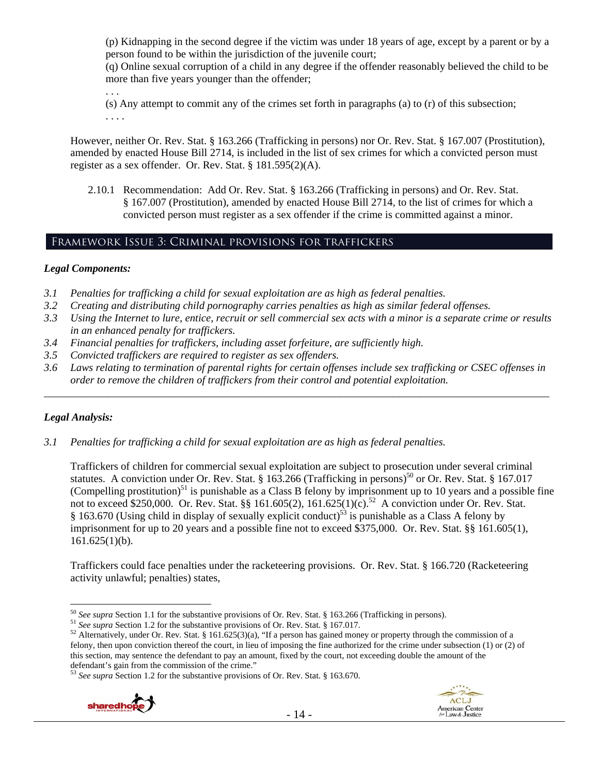(p) Kidnapping in the second degree if the victim was under 18 years of age, except by a parent or by a person found to be within the jurisdiction of the juvenile court;

(q) Online sexual corruption of a child in any degree if the offender reasonably believed the child to be more than five years younger than the offender;

. . . (s) Any attempt to commit any of the crimes set forth in paragraphs (a) to (r) of this subsection; . . . .

However, neither Or. Rev. Stat. § 163.266 (Trafficking in persons) nor Or. Rev. Stat. § 167.007 (Prostitution), amended by enacted House Bill 2714, is included in the list of sex crimes for which a convicted person must register as a sex offender. Or. Rev. Stat. § 181.595(2)(A).

2.10.1 Recommendation: Add Or. Rev. Stat. § 163.266 (Trafficking in persons) and Or. Rev. Stat. § 167.007 (Prostitution), amended by enacted House Bill 2714, to the list of crimes for which a convicted person must register as a sex offender if the crime is committed against a minor.

# Framework Issue 3: Criminal provisions for traffickers

#### *Legal Components:*

- *3.1 Penalties for trafficking a child for sexual exploitation are as high as federal penalties.*
- *3.2 Creating and distributing child pornography carries penalties as high as similar federal offenses.*
- *3.3 Using the Internet to lure, entice, recruit or sell commercial sex acts with a minor is a separate crime or results in an enhanced penalty for traffickers.*
- *3.4 Financial penalties for traffickers, including asset forfeiture, are sufficiently high.*
- *3.5 Convicted traffickers are required to register as sex offenders.*
- *3.6 Laws relating to termination of parental rights for certain offenses include sex trafficking or CSEC offenses in order to remove the children of traffickers from their control and potential exploitation. \_\_\_\_\_\_\_\_\_\_\_\_\_\_\_\_\_\_\_\_\_\_\_\_\_\_\_\_\_\_\_\_\_\_\_\_\_\_\_\_\_\_\_\_\_\_\_\_\_\_\_\_\_\_\_\_\_\_\_\_\_\_\_\_\_\_\_\_\_\_\_\_\_\_\_\_\_\_\_\_\_\_\_\_\_\_\_\_\_\_\_\_\_\_*

## *Legal Analysis:*

*3.1 Penalties for trafficking a child for sexual exploitation are as high as federal penalties.* 

Traffickers of children for commercial sexual exploitation are subject to prosecution under several criminal statutes. A conviction under Or. Rev. Stat. § 163.266 (Trafficking in persons)<sup>50</sup> or Or. Rev. Stat. § 167.017 (Compelling prostitution)<sup>51</sup> is punishable as a Class B felony by imprisonment up to 10 years and a possible fine not to exceed \$250,000. Or. Rev. Stat. §§ 161.605(2), 161.625(1)(c).<sup>52</sup> A conviction under Or. Rev. Stat. § 163.670 (Using child in display of sexually explicit conduct)<sup>53</sup> is punishable as a Class A felony by imprisonment for up to 20 years and a possible fine not to exceed \$375,000. Or. Rev. Stat. §§ 161.605(1),  $161.625(1)(b)$ .

Traffickers could face penalties under the racketeering provisions. Or. Rev. Stat. § 166.720 (Racketeering activity unlawful; penalties) states,

<sup>53</sup> *See supra* Section 1.2 for the substantive provisions of Or. Rev. Stat. § 163.670.





 $50$  See supra Section 1.1 for the substantive provisions of Or. Rev. Stat. § 163.266 (Trafficking in persons).

<sup>&</sup>lt;sup>51</sup> See supra Section 1.2 for the substantive provisions of Or. Rev. Stat. § 167.017.<br><sup>52</sup> Alternatively, under Or. Rev. Stat. § 161.625(3)(a), "If a person has gained money or property through the commission of a felony, then upon conviction thereof the court, in lieu of imposing the fine authorized for the crime under subsection (1) or (2) of this section, may sentence the defendant to pay an amount, fixed by the court, not exceeding double the amount of the defendant's gain from the commission of the crime."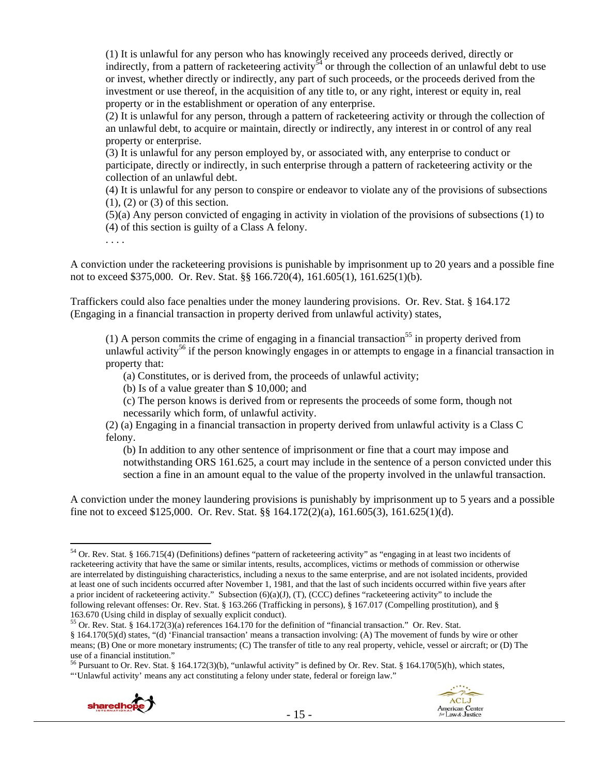(1) It is unlawful for any person who has knowingly received any proceeds derived, directly or indirectly, from a pattern of racketeering activity<sup>54</sup> or through the collection of an unlawful debt to use or invest, whether directly or indirectly, any part of such proceeds, or the proceeds derived from the investment or use thereof, in the acquisition of any title to, or any right, interest or equity in, real property or in the establishment or operation of any enterprise.

(2) It is unlawful for any person, through a pattern of racketeering activity or through the collection of an unlawful debt, to acquire or maintain, directly or indirectly, any interest in or control of any real property or enterprise.

(3) It is unlawful for any person employed by, or associated with, any enterprise to conduct or participate, directly or indirectly, in such enterprise through a pattern of racketeering activity or the collection of an unlawful debt.

(4) It is unlawful for any person to conspire or endeavor to violate any of the provisions of subsections (1), (2) or (3) of this section.

(5)(a) Any person convicted of engaging in activity in violation of the provisions of subsections (1) to (4) of this section is guilty of a Class A felony.

. . . .

A conviction under the racketeering provisions is punishable by imprisonment up to 20 years and a possible fine not to exceed \$375,000. Or. Rev. Stat. §§ 166.720(4), 161.605(1), 161.625(1)(b).

Traffickers could also face penalties under the money laundering provisions. Or. Rev. Stat. § 164.172 (Engaging in a financial transaction in property derived from unlawful activity) states,

(1) A person commits the crime of engaging in a financial transaction<sup>55</sup> in property derived from unlawful activity<sup>56</sup> if the person knowingly engages in or attempts to engage in a financial transaction in property that:

(a) Constitutes, or is derived from, the proceeds of unlawful activity;

(b) Is of a value greater than \$ 10,000; and

(c) The person knows is derived from or represents the proceeds of some form, though not necessarily which form, of unlawful activity.

(2) (a) Engaging in a financial transaction in property derived from unlawful activity is a Class C felony.

(b) In addition to any other sentence of imprisonment or fine that a court may impose and notwithstanding ORS 161.625, a court may include in the sentence of a person convicted under this section a fine in an amount equal to the value of the property involved in the unlawful transaction.

A conviction under the money laundering provisions is punishably by imprisonment up to 5 years and a possible fine not to exceed \$125,000. Or. Rev. Stat. §§ 164.172(2)(a), 161.605(3), 161.625(1)(d).

<sup>56</sup> Pursuant to Or. Rev. Stat. § 164.172(3)(b), "unlawful activity" is defined by Or. Rev. Stat. § 164.170(5)(h), which states, "'Unlawful activity' means any act constituting a felony under state, federal or foreign law."





<sup>54</sup> Or. Rev. Stat. § 166.715(4) (Definitions) defines "pattern of racketeering activity" as "engaging in at least two incidents of racketeering activity that have the same or similar intents, results, accomplices, victims or methods of commission or otherwise are interrelated by distinguishing characteristics, including a nexus to the same enterprise, and are not isolated incidents, provided at least one of such incidents occurred after November 1, 1981, and that the last of such incidents occurred within five years after a prior incident of racketeering activity." Subsection  $(6)(a)(J)$ ,  $(T)$ ,  $(CCC)$  defines "racketeering activity" to include the following relevant offenses: Or. Rev. Stat. § 163.266 (Trafficking in persons), § 167.017 (Compelling prostitution), and § 163.670 (Using child in display of sexually explicit conduct). 55 Or. Rev. Stat. § 164.172(3)(a) references 164.170 for the definition of "financial transaction." Or. Rev. Stat.

<sup>§ 164.170(5)(</sup>d) states, "(d) 'Financial transaction' means a transaction involving: (A) The movement of funds by wire or other means; (B) One or more monetary instruments; (C) The transfer of title to any real property, vehicle, vessel or aircraft; or (D) The use of a financial institution."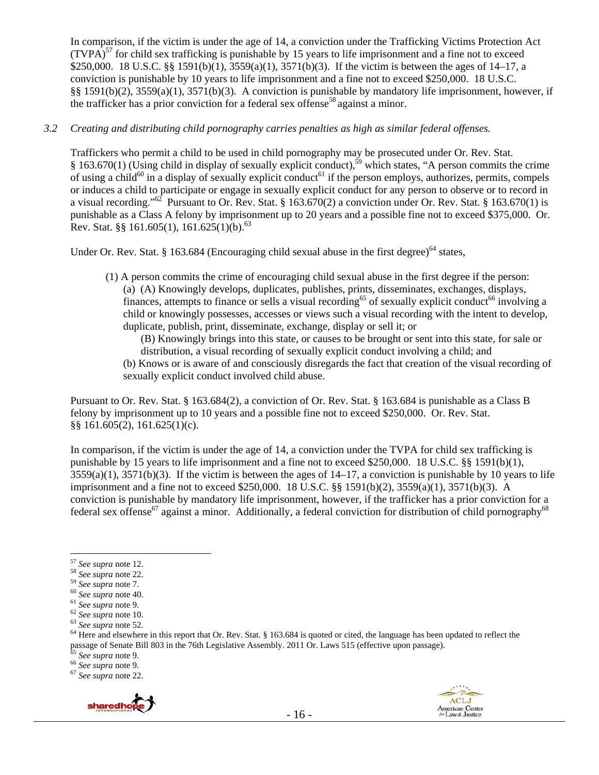In comparison, if the victim is under the age of 14, a conviction under the Trafficking Victims Protection Act  $(TVPA)^{57}$  for child sex trafficking is punishable by 15 years to life imprisonment and a fine not to exceed \$250,000. 18 U.S.C. §§ 1591(b)(1), 3559(a)(1), 3571(b)(3). If the victim is between the ages of 14–17, a conviction is punishable by 10 years to life imprisonment and a fine not to exceed \$250,000. 18 U.S.C. §§ 1591(b)(2), 3559(a)(1), 3571(b)(3). A conviction is punishable by mandatory life imprisonment, however, if the trafficker has a prior conviction for a federal sex offense<sup>58</sup> against a minor.

#### *3.2 Creating and distributing child pornography carries penalties as high as similar federal offenses.*

Traffickers who permit a child to be used in child pornography may be prosecuted under Or. Rev. Stat. § 163.670(1) (Using child in display of sexually explicit conduct),<sup>59</sup> which states, "A person commits the crime of using a child<sup>60</sup> in a display of sexually explicit conduct<sup>61</sup> if the person employs, authorizes, permits, compels or induces a child to participate or engage in sexually explicit conduct for any person to observe or to record in a visual recording."<sup>62</sup> Pursuant to Or. Rev. Stat. § 163.670(2) a conviction under Or. Rev. Stat. § 163.670(1) is punishable as a Class A felony by imprisonment up to 20 years and a possible fine not to exceed \$375,000. Or. Rev. Stat. §§ 161.605(1), 161.625(1)(b).<sup>63</sup>

Under Or. Rev. Stat. § 163.684 (Encouraging child sexual abuse in the first degree)<sup>64</sup> states,

(1) A person commits the crime of encouraging child sexual abuse in the first degree if the person: (a) (A) Knowingly develops, duplicates, publishes, prints, disseminates, exchanges, displays, finances, attempts to finance or sells a visual recording<sup>65</sup> of sexually explicit conduct<sup>66</sup> involving a child or knowingly possesses, accesses or views such a visual recording with the intent to develop, duplicate, publish, print, disseminate, exchange, display or sell it; or

(B) Knowingly brings into this state, or causes to be brought or sent into this state, for sale or distribution, a visual recording of sexually explicit conduct involving a child; and

(b) Knows or is aware of and consciously disregards the fact that creation of the visual recording of sexually explicit conduct involved child abuse.

Pursuant to Or. Rev. Stat. § 163.684(2), a conviction of Or. Rev. Stat. § 163.684 is punishable as a Class B felony by imprisonment up to 10 years and a possible fine not to exceed \$250,000. Or. Rev. Stat. §§ 161.605(2), 161.625(1)(c).

In comparison, if the victim is under the age of 14, a conviction under the TVPA for child sex trafficking is punishable by 15 years to life imprisonment and a fine not to exceed \$250,000. 18 U.S.C. §§ 1591(b)(1),  $3559(a)(1)$ ,  $3571(b)(3)$ . If the victim is between the ages of  $14-17$ , a conviction is punishable by 10 years to life imprisonment and a fine not to exceed \$250,000. 18 U.S.C. §§ 1591(b)(2), 3559(a)(1), 3571(b)(3). A conviction is punishable by mandatory life imprisonment, however, if the trafficker has a prior conviction for a federal sex offense<sup>67</sup> against a minor. Additionally, a federal conviction for distribution of child pornography<sup>68</sup>



 $^{57}$  See supra note 12.

<sup>&</sup>lt;sup>58</sup> See supra note 22.<br>
<sup>59</sup> See supra note 7.<br>
<sup>60</sup> See supra note 40.<br>
<sup>61</sup> See supra note 9.<br>
<sup>62</sup> See supra note 10.<br>
<sup>62</sup> See supra note 52.<br>
<sup>63</sup> See supra note 52.<br>
<sup>64</sup> Here and elsewhere in this report that Or. passage of Senate Bill 803 in the 76th Legislative Assembly. 2011 Or. Laws 515 (effective upon passage).<br><sup>65</sup> *See supra* note 9.<br><sup>66</sup> *See supra* note 9.<br><sup>67</sup> *See supra* note 22.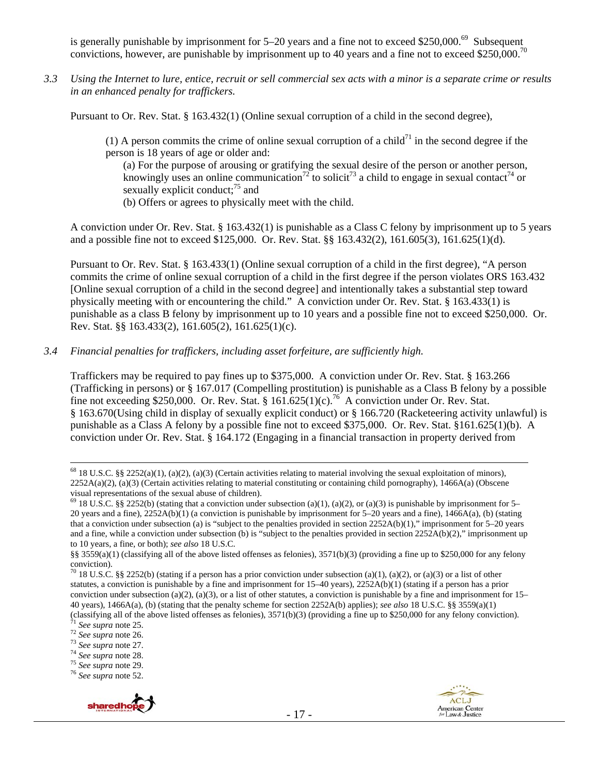is generally punishable by imprisonment for  $5-20$  years and a fine not to exceed \$250,000.<sup>69</sup> Subsequent convictions, however, are punishable by imprisonment up to 40 years and a fine not to exceed \$250,000.<sup>70</sup>

*3.3 Using the Internet to lure, entice, recruit or sell commercial sex acts with a minor is a separate crime or results in an enhanced penalty for traffickers.* 

Pursuant to Or. Rev. Stat. § 163.432(1) (Online sexual corruption of a child in the second degree),

(1) A person commits the crime of online sexual corruption of a child<sup>71</sup> in the second degree if the person is 18 years of age or older and:

(a) For the purpose of arousing or gratifying the sexual desire of the person or another person, knowingly uses an online communication<sup>72</sup> to solicit<sup>73</sup> a child to engage in sexual contact<sup>74</sup> or sexually explicit conduct:<sup>75</sup> and

(b) Offers or agrees to physically meet with the child.

A conviction under Or. Rev. Stat. § 163.432(1) is punishable as a Class C felony by imprisonment up to 5 years and a possible fine not to exceed \$125,000. Or. Rev. Stat. §§ 163.432(2), 161.605(3), 161.625(1)(d).

Pursuant to Or. Rev. Stat. § 163.433(1) (Online sexual corruption of a child in the first degree), "A person commits the crime of online sexual corruption of a child in the first degree if the person violates ORS 163.432 [Online sexual corruption of a child in the second degree] and intentionally takes a substantial step toward physically meeting with or encountering the child." A conviction under Or. Rev. Stat. § 163.433(1) is punishable as a class B felony by imprisonment up to 10 years and a possible fine not to exceed \$250,000. Or. Rev. Stat. §§ 163.433(2), 161.605(2), 161.625(1)(c).

#### *3.4 Financial penalties for traffickers, including asset forfeiture, are sufficiently high.*

Traffickers may be required to pay fines up to \$375,000. A conviction under Or. Rev. Stat. § 163.266 (Trafficking in persons) or § 167.017 (Compelling prostitution) is punishable as a Class B felony by a possible fine not exceeding \$250,000. Or. Rev. Stat. § 161.625(1)(c).<sup>76</sup> A conviction under Or. Rev. Stat. § 163.670(Using child in display of sexually explicit conduct) or § 166.720 (Racketeering activity unlawful) is punishable as a Class A felony by a possible fine not to exceed \$375,000. Or. Rev. Stat. §161.625(1)(b). A conviction under Or. Rev. Stat. § 164.172 (Engaging in a financial transaction in property derived from





 $68$  18 U.S.C. §§ 2252(a)(1), (a)(2), (a)(3) (Certain activities relating to material involving the sexual exploitation of minors),  $2252A(a)(2)$ , (a)(3) (Certain activities relating to material constituting or containing child pornography), 1466A(a) (Obscene visual representations of the sexual abuse of children).

<sup>&</sup>lt;sup>69</sup> 18 U.S.C. §§ 2252(b) (stating that a conviction under subsection (a)(1), (a)(2), or (a)(3) is punishable by imprisonment for 5– 20 years and a fine), 2252A(b)(1) (a conviction is punishable by imprisonment for 5–20 years and a fine), 1466A(a), (b) (stating that a conviction under subsection (a) is "subject to the penalties provided in section 2252A(b)(1)," imprisonment for 5–20 years and a fine, while a conviction under subsection (b) is "subject to the penalties provided in section 2252A(b)(2)," imprisonment up to 10 years, a fine, or both); *see also* 18 U.S.C.

<sup>§§ 3559(</sup>a)(1) (classifying all of the above listed offenses as felonies), 3571(b)(3) (providing a fine up to \$250,000 for any felony conviction).

<sup>&</sup>lt;sup>70</sup> 18 U.S.C. §§ 2252(b) (stating if a person has a prior conviction under subsection (a)(1), (a)(2), or (a)(3) or a list of other statutes, a conviction is punishable by a fine and imprisonment for 15–40 years), 2252A(b)(1) (stating if a person has a prior conviction under subsection (a)(2), (a)(3), or a list of other statutes, a conviction is punishable by a fine and imprisonment for  $15-$ 40 years), 1466A(a), (b) (stating that the penalty scheme for section 2252A(b) applies); *see also* 18 U.S.C. §§ 3559(a)(1)

<sup>(</sup>classifying all of the above listed offenses as felonies), 3571(b)(3) (providing a fine up to \$250,000 for any felony conviction).<br>
<sup>71</sup> See supra note 25.<br>
<sup>72</sup> See supra note 26.<br>
<sup>72</sup> See supra note 26.<br>
<sup>73</sup> See supr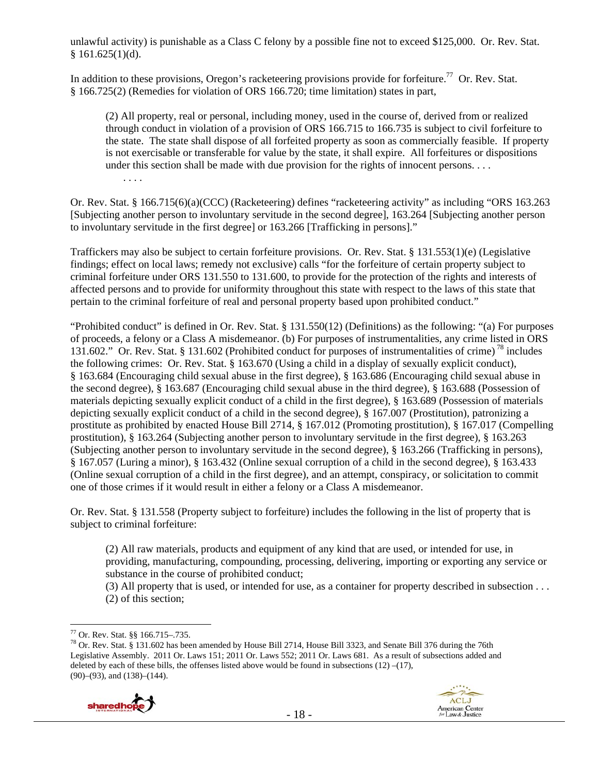unlawful activity) is punishable as a Class C felony by a possible fine not to exceed \$125,000. Or. Rev. Stat.  $§ 161.625(1)(d).$ 

In addition to these provisions, Oregon's racketeering provisions provide for forfeiture.<sup>77</sup> Or. Rev. Stat. § 166.725(2) (Remedies for violation of ORS 166.720; time limitation) states in part,

(2) All property, real or personal, including money, used in the course of, derived from or realized through conduct in violation of a provision of ORS 166.715 to 166.735 is subject to civil forfeiture to the state. The state shall dispose of all forfeited property as soon as commercially feasible. If property is not exercisable or transferable for value by the state, it shall expire. All forfeitures or dispositions under this section shall be made with due provision for the rights of innocent persons. . . . . . . .

Or. Rev. Stat. § 166.715(6)(a)(CCC) (Racketeering) defines "racketeering activity" as including "ORS 163.263 [Subjecting another person to involuntary servitude in the second degree], 163.264 [Subjecting another person to involuntary servitude in the first degree] or 163.266 [Trafficking in persons]."

Traffickers may also be subject to certain forfeiture provisions. Or. Rev. Stat. § 131.553(1)(e) (Legislative findings; effect on local laws; remedy not exclusive) calls "for the forfeiture of certain property subject to criminal forfeiture under ORS 131.550 to 131.600, to provide for the protection of the rights and interests of affected persons and to provide for uniformity throughout this state with respect to the laws of this state that pertain to the criminal forfeiture of real and personal property based upon prohibited conduct."

"Prohibited conduct" is defined in Or. Rev. Stat. § 131.550(12) (Definitions) as the following: "(a) For purposes of proceeds, a felony or a Class A misdemeanor. (b) For purposes of instrumentalities, any crime listed in ORS 131.602." Or. Rev. Stat. § 131.602 (Prohibited conduct for purposes of instrumentalities of crime) 78 includes the following crimes: Or. Rev. Stat. § 163.670 (Using a child in a display of sexually explicit conduct), § 163.684 (Encouraging child sexual abuse in the first degree), § 163.686 (Encouraging child sexual abuse in the second degree), § 163.687 (Encouraging child sexual abuse in the third degree), § 163.688 (Possession of materials depicting sexually explicit conduct of a child in the first degree), § 163.689 (Possession of materials depicting sexually explicit conduct of a child in the second degree), § 167.007 (Prostitution), patronizing a prostitute as prohibited by enacted House Bill 2714, § 167.012 (Promoting prostitution), § 167.017 (Compelling prostitution), § 163.264 (Subjecting another person to involuntary servitude in the first degree), § 163.263 (Subjecting another person to involuntary servitude in the second degree), § 163.266 (Trafficking in persons), § 167.057 (Luring a minor), § 163.432 (Online sexual corruption of a child in the second degree), § 163.433 (Online sexual corruption of a child in the first degree), and an attempt, conspiracy, or solicitation to commit one of those crimes if it would result in either a felony or a Class A misdemeanor.

Or. Rev. Stat. § 131.558 (Property subject to forfeiture) includes the following in the list of property that is subject to criminal forfeiture:

(2) All raw materials, products and equipment of any kind that are used, or intended for use, in providing, manufacturing, compounding, processing, delivering, importing or exporting any service or substance in the course of prohibited conduct;

(3) All property that is used, or intended for use, as a container for property described in subsection . . . (2) of this section;

<sup>&</sup>lt;sup>78</sup> Or. Rev. Stat. § 131.602 has been amended by House Bill 2714, House Bill 3323, and Senate Bill 376 during the 76th Legislative Assembly. 2011 Or. Laws 151; 2011 Or. Laws 552; 2011 Or. Laws 681. As a result of subsections added and deleted by each of these bills, the offenses listed above would be found in subsections  $(12)$  – $(17)$ , (90)–(93), and (138)–(144).



 $\overline{a}$ 77 Or. Rev. Stat. §§ 166.715–.735.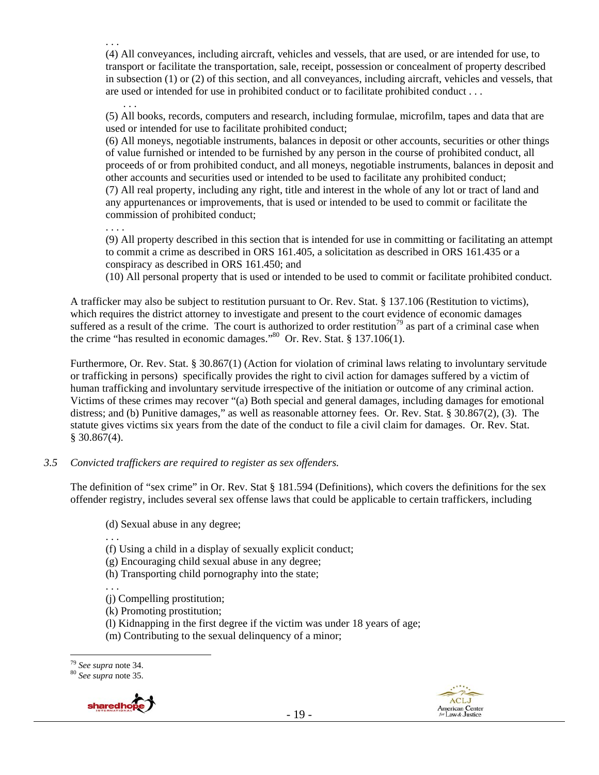. . . (4) All conveyances, including aircraft, vehicles and vessels, that are used, or are intended for use, to transport or facilitate the transportation, sale, receipt, possession or concealment of property described in subsection (1) or (2) of this section, and all conveyances, including aircraft, vehicles and vessels, that are used or intended for use in prohibited conduct or to facilitate prohibited conduct . . .

(5) All books, records, computers and research, including formulae, microfilm, tapes and data that are used or intended for use to facilitate prohibited conduct;

(6) All moneys, negotiable instruments, balances in deposit or other accounts, securities or other things of value furnished or intended to be furnished by any person in the course of prohibited conduct, all proceeds of or from prohibited conduct, and all moneys, negotiable instruments, balances in deposit and other accounts and securities used or intended to be used to facilitate any prohibited conduct; (7) All real property, including any right, title and interest in the whole of any lot or tract of land and any appurtenances or improvements, that is used or intended to be used to commit or facilitate the commission of prohibited conduct;

. . . .

. . .

(9) All property described in this section that is intended for use in committing or facilitating an attempt to commit a crime as described in ORS 161.405, a solicitation as described in ORS 161.435 or a conspiracy as described in ORS 161.450; and

(10) All personal property that is used or intended to be used to commit or facilitate prohibited conduct.

A trafficker may also be subject to restitution pursuant to Or. Rev. Stat. § 137.106 (Restitution to victims), which requires the district attorney to investigate and present to the court evidence of economic damages suffered as a result of the crime. The court is authorized to order restitution<sup>79</sup> as part of a criminal case when the crime "has resulted in economic damages."<sup>80</sup> Or. Rev. Stat. § 137.106(1).

Furthermore, Or. Rev. Stat. § 30.867(1) (Action for violation of criminal laws relating to involuntary servitude or trafficking in persons) specifically provides the right to civil action for damages suffered by a victim of human trafficking and involuntary servitude irrespective of the initiation or outcome of any criminal action. Victims of these crimes may recover "(a) Both special and general damages, including damages for emotional distress; and (b) Punitive damages," as well as reasonable attorney fees. Or. Rev. Stat. § 30.867(2), (3). The statute gives victims six years from the date of the conduct to file a civil claim for damages. Or. Rev. Stat. § 30.867(4).

## *3.5 Convicted traffickers are required to register as sex offenders.*

The definition of "sex crime" in Or. Rev. Stat § 181.594 (Definitions), which covers the definitions for the sex offender registry, includes several sex offense laws that could be applicable to certain traffickers, including

(d) Sexual abuse in any degree;

. . .

(f) Using a child in a display of sexually explicit conduct;

(g) Encouraging child sexual abuse in any degree;

(h) Transporting child pornography into the state;

. . . (j) Compelling prostitution;

(k) Promoting prostitution;

(l) Kidnapping in the first degree if the victim was under 18 years of age;

(m) Contributing to the sexual delinquency of a minor;





<sup>79</sup> *See supra* note 34. 80 *See supra* note 35.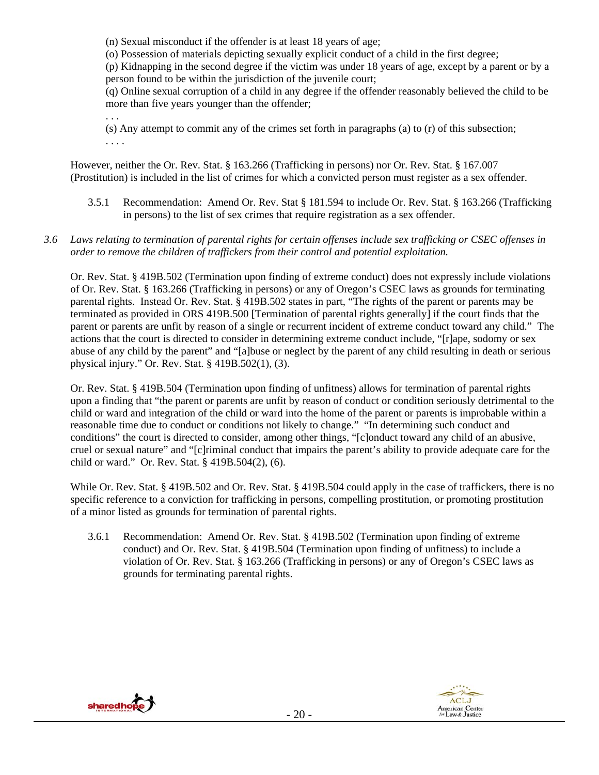(n) Sexual misconduct if the offender is at least 18 years of age;

(o) Possession of materials depicting sexually explicit conduct of a child in the first degree;

(p) Kidnapping in the second degree if the victim was under 18 years of age, except by a parent or by a person found to be within the jurisdiction of the juvenile court;

(q) Online sexual corruption of a child in any degree if the offender reasonably believed the child to be more than five years younger than the offender;

(s) Any attempt to commit any of the crimes set forth in paragraphs (a) to (r) of this subsection; . . . .

However, neither the Or. Rev. Stat. § 163.266 (Trafficking in persons) nor Or. Rev. Stat. § 167.007 (Prostitution) is included in the list of crimes for which a convicted person must register as a sex offender.

- 3.5.1 Recommendation: Amend Or. Rev. Stat § 181.594 to include Or. Rev. Stat. § 163.266 (Trafficking in persons) to the list of sex crimes that require registration as a sex offender.
- *3.6 Laws relating to termination of parental rights for certain offenses include sex trafficking or CSEC offenses in order to remove the children of traffickers from their control and potential exploitation.*

Or. Rev. Stat. § 419B.502 (Termination upon finding of extreme conduct) does not expressly include violations of Or. Rev. Stat. § 163.266 (Trafficking in persons) or any of Oregon's CSEC laws as grounds for terminating parental rights. Instead Or. Rev. Stat. § 419B.502 states in part, "The rights of the parent or parents may be terminated as provided in ORS 419B.500 [Termination of parental rights generally] if the court finds that the parent or parents are unfit by reason of a single or recurrent incident of extreme conduct toward any child." The actions that the court is directed to consider in determining extreme conduct include, "[r]ape, sodomy or sex abuse of any child by the parent" and "[a]buse or neglect by the parent of any child resulting in death or serious physical injury." Or. Rev. Stat. § 419B.502(1), (3).

Or. Rev. Stat. § 419B.504 (Termination upon finding of unfitness) allows for termination of parental rights upon a finding that "the parent or parents are unfit by reason of conduct or condition seriously detrimental to the child or ward and integration of the child or ward into the home of the parent or parents is improbable within a reasonable time due to conduct or conditions not likely to change." "In determining such conduct and conditions" the court is directed to consider, among other things, "[c]onduct toward any child of an abusive, cruel or sexual nature" and "[c]riminal conduct that impairs the parent's ability to provide adequate care for the child or ward." Or. Rev. Stat. § 419B.504(2), (6).

While Or. Rev. Stat. § 419B.502 and Or. Rev. Stat. § 419B.504 could apply in the case of traffickers, there is no specific reference to a conviction for trafficking in persons, compelling prostitution, or promoting prostitution of a minor listed as grounds for termination of parental rights.

3.6.1 Recommendation: Amend Or. Rev. Stat. § 419B.502 (Termination upon finding of extreme conduct) and Or. Rev. Stat. § 419B.504 (Termination upon finding of unfitness) to include a violation of Or. Rev. Stat. § 163.266 (Trafficking in persons) or any of Oregon's CSEC laws as grounds for terminating parental rights.



. . .

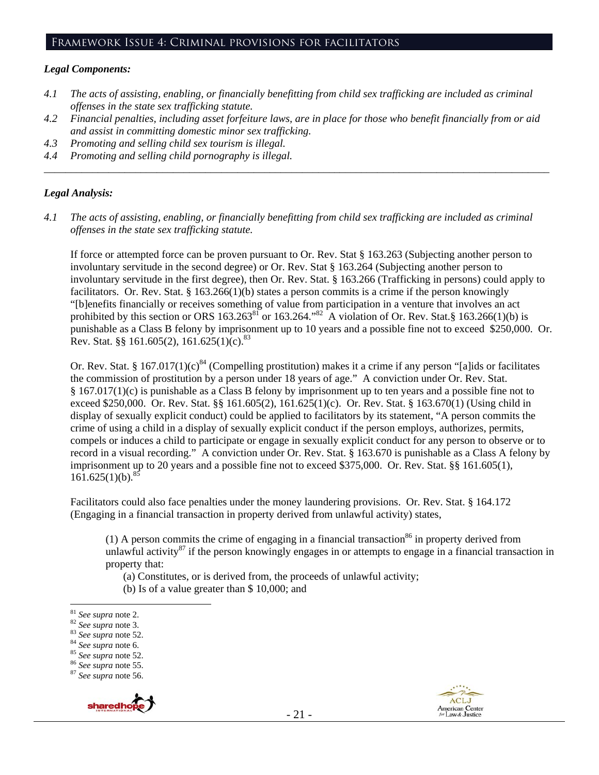## Framework Issue 4: Criminal provisions for facilitators

#### *Legal Components:*

- *4.1 The acts of assisting, enabling, or financially benefitting from child sex trafficking are included as criminal offenses in the state sex trafficking statute.*
- *4.2 Financial penalties, including asset forfeiture laws, are in place for those who benefit financially from or aid and assist in committing domestic minor sex trafficking.*

*\_\_\_\_\_\_\_\_\_\_\_\_\_\_\_\_\_\_\_\_\_\_\_\_\_\_\_\_\_\_\_\_\_\_\_\_\_\_\_\_\_\_\_\_\_\_\_\_\_\_\_\_\_\_\_\_\_\_\_\_\_\_\_\_\_\_\_\_\_\_\_\_\_\_\_\_\_\_\_\_\_\_\_\_\_\_\_\_\_\_\_\_\_\_* 

- *4.3 Promoting and selling child sex tourism is illegal.*
- *4.4 Promoting and selling child pornography is illegal.*

#### *Legal Analysis:*

*4.1 The acts of assisting, enabling, or financially benefitting from child sex trafficking are included as criminal offenses in the state sex trafficking statute.* 

If force or attempted force can be proven pursuant to Or. Rev. Stat § 163.263 (Subjecting another person to involuntary servitude in the second degree) or Or. Rev. Stat § 163.264 (Subjecting another person to involuntary servitude in the first degree), then Or. Rev. Stat. § 163.266 (Trafficking in persons) could apply to facilitators. Or. Rev. Stat. § 163.266(1)(b) states a person commits is a crime if the person knowingly "[b]enefits financially or receives something of value from participation in a venture that involves an act prohibited by this section or ORS  $163.263^{81}$  or  $163.264.^{82}$  A violation of Or. Rev. Stat.§  $163.266(1)(b)$  is punishable as a Class B felony by imprisonment up to 10 years and a possible fine not to exceed \$250,000. Or. Rev. Stat. §§ 161.605(2), 161.625(1)(c).<sup>83</sup>

Or. Rev. Stat. § 167.017(1)(c)<sup>84</sup> (Compelling prostitution) makes it a crime if any person "[a]ids or facilitates the commission of prostitution by a person under 18 years of age." A conviction under Or. Rev. Stat. § 167.017(1)(c) is punishable as a Class B felony by imprisonment up to ten years and a possible fine not to exceed \$250,000. Or. Rev. Stat. §§ 161.605(2), 161.625(1)(c). Or. Rev. Stat. § 163.670(1) (Using child in display of sexually explicit conduct) could be applied to facilitators by its statement, "A person commits the crime of using a child in a display of sexually explicit conduct if the person employs, authorizes, permits, compels or induces a child to participate or engage in sexually explicit conduct for any person to observe or to record in a visual recording." A conviction under Or. Rev. Stat. § 163.670 is punishable as a Class A felony by imprisonment up to 20 years and a possible fine not to exceed \$375,000. Or. Rev. Stat. §§ 161.605(1),  $161.625(1)(b)$ .<sup>85</sup>

Facilitators could also face penalties under the money laundering provisions. Or. Rev. Stat. § 164.172 (Engaging in a financial transaction in property derived from unlawful activity) states,

(1) A person commits the crime of engaging in a financial transaction<sup>86</sup> in property derived from unlawful activity<sup>87</sup> if the person knowingly engages in or attempts to engage in a financial transaction in property that:

(a) Constitutes, or is derived from, the proceeds of unlawful activity;

(b) Is of a value greater than \$ 10,000; and





<sup>81</sup> See supra note 2.

<sup>81</sup> *See supra* note 2. 82 *See supra* note 3. 83 *See supra* note 52. 84 *See supra* note 6. 85 *See supra* note 52. 86 *See supra* note 55. 87 *See supra* note 56.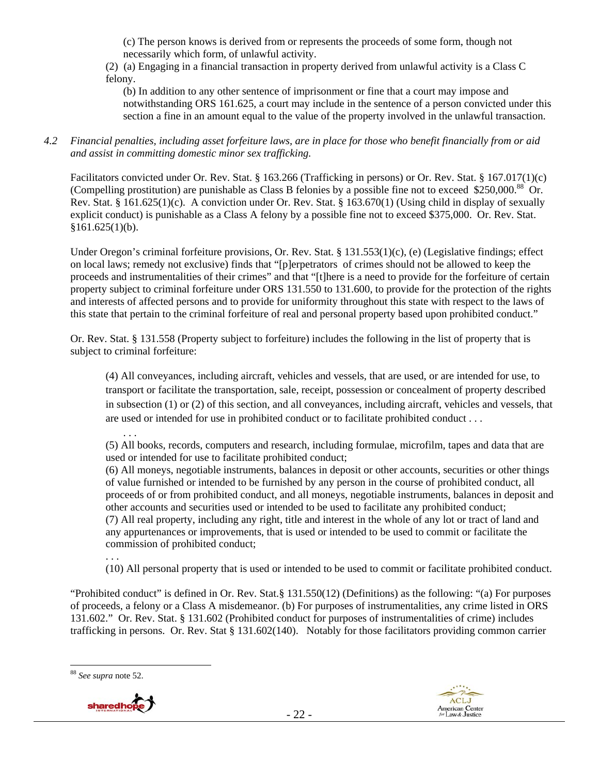(c) The person knows is derived from or represents the proceeds of some form, though not necessarily which form, of unlawful activity.

(2) (a) Engaging in a financial transaction in property derived from unlawful activity is a Class C felony.

(b) In addition to any other sentence of imprisonment or fine that a court may impose and notwithstanding ORS 161.625, a court may include in the sentence of a person convicted under this section a fine in an amount equal to the value of the property involved in the unlawful transaction.

## *4.2 Financial penalties, including asset forfeiture laws, are in place for those who benefit financially from or aid and assist in committing domestic minor sex trafficking.*

Facilitators convicted under Or. Rev. Stat. § 163.266 (Trafficking in persons) or Or. Rev. Stat. § 167.017(1)(c) (Compelling prostitution) are punishable as Class B felonies by a possible fine not to exceed \$250,000.88 Or. Rev. Stat. § 161.625(1)(c). A conviction under Or. Rev. Stat. § 163.670(1) (Using child in display of sexually explicit conduct) is punishable as a Class A felony by a possible fine not to exceed \$375,000. Or. Rev. Stat.  $§161.625(1)(b).$ 

Under Oregon's criminal forfeiture provisions, Or. Rev. Stat. § 131.553(1)(c), (e) (Legislative findings; effect on local laws; remedy not exclusive) finds that "[p]erpetrators of crimes should not be allowed to keep the proceeds and instrumentalities of their crimes" and that "[t]here is a need to provide for the forfeiture of certain property subject to criminal forfeiture under ORS 131.550 to 131.600, to provide for the protection of the rights and interests of affected persons and to provide for uniformity throughout this state with respect to the laws of this state that pertain to the criminal forfeiture of real and personal property based upon prohibited conduct."

Or. Rev. Stat. § 131.558 (Property subject to forfeiture) includes the following in the list of property that is subject to criminal forfeiture:

(4) All conveyances, including aircraft, vehicles and vessels, that are used, or are intended for use, to transport or facilitate the transportation, sale, receipt, possession or concealment of property described in subsection (1) or (2) of this section, and all conveyances, including aircraft, vehicles and vessels, that are used or intended for use in prohibited conduct or to facilitate prohibited conduct . . .

. . . (5) All books, records, computers and research, including formulae, microfilm, tapes and data that are used or intended for use to facilitate prohibited conduct;

(6) All moneys, negotiable instruments, balances in deposit or other accounts, securities or other things of value furnished or intended to be furnished by any person in the course of prohibited conduct, all proceeds of or from prohibited conduct, and all moneys, negotiable instruments, balances in deposit and other accounts and securities used or intended to be used to facilitate any prohibited conduct; (7) All real property, including any right, title and interest in the whole of any lot or tract of land and any appurtenances or improvements, that is used or intended to be used to commit or facilitate the commission of prohibited conduct;

. . . (10) All personal property that is used or intended to be used to commit or facilitate prohibited conduct.

"Prohibited conduct" is defined in Or. Rev. Stat.§ 131.550(12) (Definitions) as the following: "(a) For purposes of proceeds, a felony or a Class A misdemeanor. (b) For purposes of instrumentalities, any crime listed in ORS 131.602." Or. Rev. Stat. § 131.602 (Prohibited conduct for purposes of instrumentalities of crime) includes trafficking in persons. Or. Rev. Stat § 131.602(140). Notably for those facilitators providing common carrier





<sup>88</sup> *See supra* note 52.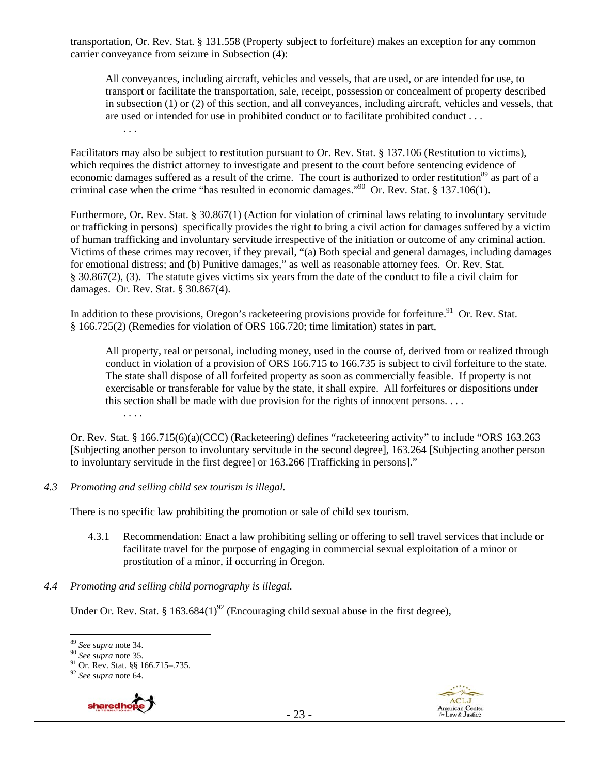transportation, Or. Rev. Stat. § 131.558 (Property subject to forfeiture) makes an exception for any common carrier conveyance from seizure in Subsection (4):

All conveyances, including aircraft, vehicles and vessels, that are used, or are intended for use, to transport or facilitate the transportation, sale, receipt, possession or concealment of property described in subsection (1) or (2) of this section, and all conveyances, including aircraft, vehicles and vessels, that are used or intended for use in prohibited conduct or to facilitate prohibited conduct . . . . . .

Facilitators may also be subject to restitution pursuant to Or. Rev. Stat. § 137.106 (Restitution to victims), which requires the district attorney to investigate and present to the court before sentencing evidence of economic damages suffered as a result of the crime. The court is authorized to order restitution<sup>89</sup> as part of a criminal case when the crime "has resulted in economic damages."90 Or. Rev. Stat. § 137.106(1).

Furthermore, Or. Rev. Stat. § 30.867(1) (Action for violation of criminal laws relating to involuntary servitude or trafficking in persons) specifically provides the right to bring a civil action for damages suffered by a victim of human trafficking and involuntary servitude irrespective of the initiation or outcome of any criminal action. Victims of these crimes may recover, if they prevail, "(a) Both special and general damages, including damages for emotional distress; and (b) Punitive damages," as well as reasonable attorney fees. Or. Rev. Stat. § 30.867(2), (3). The statute gives victims six years from the date of the conduct to file a civil claim for damages. Or. Rev. Stat. § 30.867(4).

In addition to these provisions, Oregon's racketeering provisions provide for forfeiture.<sup>91</sup> Or. Rev. Stat. § 166.725(2) (Remedies for violation of ORS 166.720; time limitation) states in part,

All property, real or personal, including money, used in the course of, derived from or realized through conduct in violation of a provision of ORS 166.715 to 166.735 is subject to civil forfeiture to the state. The state shall dispose of all forfeited property as soon as commercially feasible. If property is not exercisable or transferable for value by the state, it shall expire. All forfeitures or dispositions under this section shall be made with due provision for the rights of innocent persons. . . . . . . .

Or. Rev. Stat. § 166.715(6)(a)(CCC) (Racketeering) defines "racketeering activity" to include "ORS 163.263 [Subjecting another person to involuntary servitude in the second degree], 163.264 [Subjecting another person to involuntary servitude in the first degree] or 163.266 [Trafficking in persons]."

*4.3 Promoting and selling child sex tourism is illegal.* 

There is no specific law prohibiting the promotion or sale of child sex tourism.

- 4.3.1 Recommendation: Enact a law prohibiting selling or offering to sell travel services that include or facilitate travel for the purpose of engaging in commercial sexual exploitation of a minor or prostitution of a minor, if occurring in Oregon.
- *4.4 Promoting and selling child pornography is illegal.*

Under Or. Rev. Stat. § 163.684 $(1)^{92}$  (Encouraging child sexual abuse in the first degree),

<sup>92</sup> *See supra* note 64.



<sup>89</sup> *See supra* note 34.<br><sup>90</sup> *See supra* note 35.<br><sup>91</sup> Or. Rev. Stat. §§ 166.715–.735.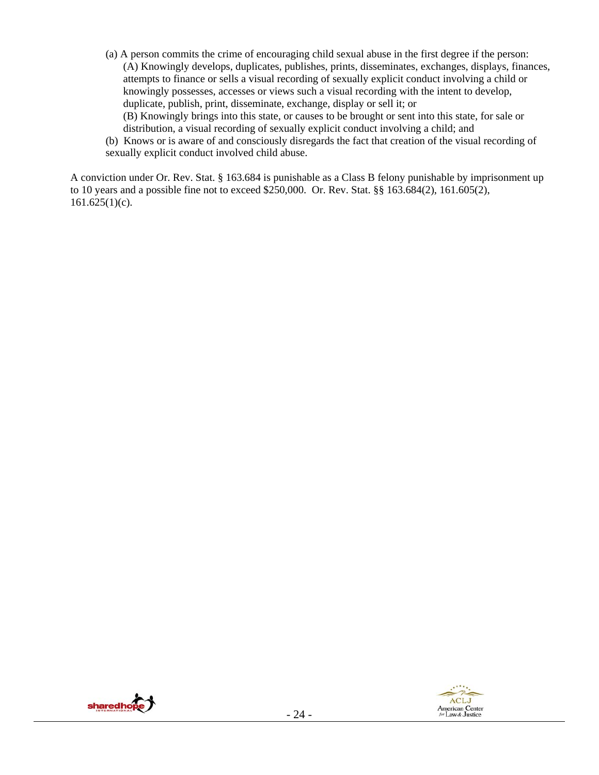(a) A person commits the crime of encouraging child sexual abuse in the first degree if the person: (A) Knowingly develops, duplicates, publishes, prints, disseminates, exchanges, displays, finances, attempts to finance or sells a visual recording of sexually explicit conduct involving a child or knowingly possesses, accesses or views such a visual recording with the intent to develop, duplicate, publish, print, disseminate, exchange, display or sell it; or

(B) Knowingly brings into this state, or causes to be brought or sent into this state, for sale or distribution, a visual recording of sexually explicit conduct involving a child; and

(b) Knows or is aware of and consciously disregards the fact that creation of the visual recording of sexually explicit conduct involved child abuse.

A conviction under Or. Rev. Stat. § 163.684 is punishable as a Class B felony punishable by imprisonment up to 10 years and a possible fine not to exceed \$250,000. Or. Rev. Stat. §§ 163.684(2), 161.605(2),  $161.625(1)(c)$ .



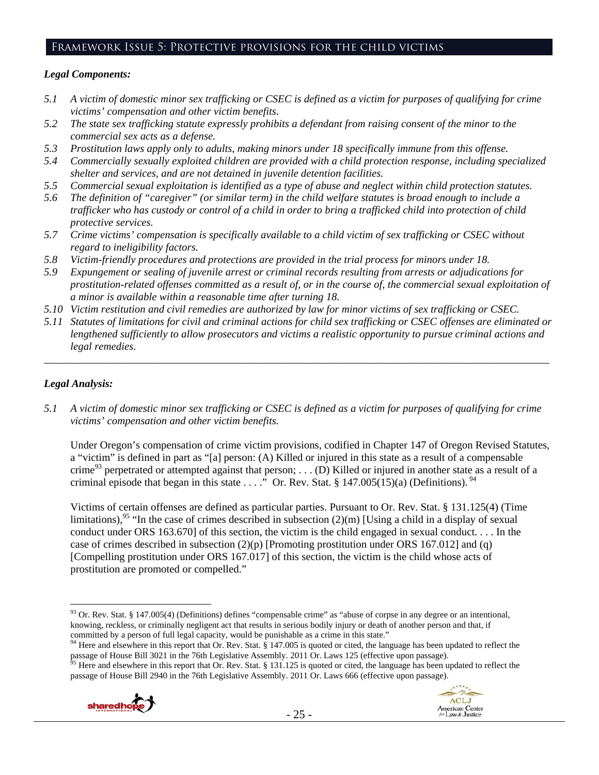## Framework Issue 5: Protective provisions for the child victims

#### *Legal Components:*

- *5.1 A victim of domestic minor sex trafficking or CSEC is defined as a victim for purposes of qualifying for crime victims' compensation and other victim benefits.*
- *5.2 The state sex trafficking statute expressly prohibits a defendant from raising consent of the minor to the commercial sex acts as a defense.*
- *5.3 Prostitution laws apply only to adults, making minors under 18 specifically immune from this offense.*
- *5.4 Commercially sexually exploited children are provided with a child protection response, including specialized shelter and services, and are not detained in juvenile detention facilities.*
- *5.5 Commercial sexual exploitation is identified as a type of abuse and neglect within child protection statutes.*
- *5.6 The definition of "caregiver" (or similar term) in the child welfare statutes is broad enough to include a trafficker who has custody or control of a child in order to bring a trafficked child into protection of child protective services.*
- *5.7 Crime victims' compensation is specifically available to a child victim of sex trafficking or CSEC without regard to ineligibility factors.*
- *5.8 Victim-friendly procedures and protections are provided in the trial process for minors under 18.*
- *5.9 Expungement or sealing of juvenile arrest or criminal records resulting from arrests or adjudications for prostitution-related offenses committed as a result of, or in the course of, the commercial sexual exploitation of a minor is available within a reasonable time after turning 18.*
- *5.10 Victim restitution and civil remedies are authorized by law for minor victims of sex trafficking or CSEC.*
- *5.11 Statutes of limitations for civil and criminal actions for child sex trafficking or CSEC offenses are eliminated or lengthened sufficiently to allow prosecutors and victims a realistic opportunity to pursue criminal actions and legal remedies.*

*\_\_\_\_\_\_\_\_\_\_\_\_\_\_\_\_\_\_\_\_\_\_\_\_\_\_\_\_\_\_\_\_\_\_\_\_\_\_\_\_\_\_\_\_\_\_\_\_\_\_\_\_\_\_\_\_\_\_\_\_\_\_\_\_\_\_\_\_\_\_\_\_\_\_\_\_\_\_\_\_\_\_\_\_\_\_\_\_\_\_\_\_\_\_* 

## *Legal Analysis:*

*5.1 A victim of domestic minor sex trafficking or CSEC is defined as a victim for purposes of qualifying for crime victims' compensation and other victim benefits.* 

Under Oregon's compensation of crime victim provisions, codified in Chapter 147 of Oregon Revised Statutes, a "victim" is defined in part as "[a] person: (A) Killed or injured in this state as a result of a compensable crime<sup>93</sup> perpetrated or attempted against that person; . . . (D) Killed or injured in another state as a result of a criminal episode that began in this state  $\ldots$ .  $\overline{P}$  Or. Rev. Stat. § 147.005(15)(a) (Definitions). <sup>94</sup>

Victims of certain offenses are defined as particular parties. Pursuant to Or. Rev. Stat. § 131.125(4) (Time limitations),<sup>95</sup> "In the case of crimes described in subsection (2)(m) [Using a child in a display of sexual conduct under ORS 163.670] of this section, the victim is the child engaged in sexual conduct. . . . In the case of crimes described in subsection  $(2)(p)$  [Promoting prostitution under ORS 167.012] and (q) [Compelling prostitution under ORS 167.017] of this section, the victim is the child whose acts of prostitution are promoted or compelled."

passage of House Bill 2940 in the 76th Legislative Assembly. 2011 Or. Laws 666 (effective upon passage).





 $\overline{a}$  $93$  Or. Rev. Stat. § 147.005(4) (Definitions) defines "compensable crime" as "abuse of corpse in any degree or an intentional, knowing, reckless, or criminally negligent act that results in serious bodily injury or death of another person and that, if

committed by a person of full legal capacity, would be punishable as a crime in this state."<br><sup>94</sup> Here and elsewhere in this report that Or. Rev. Stat. § 147.005 is quoted or cited, the language has been updated to reflect passage of House Bill 3021 in the 76th Legislative Assembly. 2011 Or. Laws 125 (effective upon passage).<br><sup>95</sup> Here and elsewhere in this report that Or. Rev. Stat. § 131.125 is quoted or cited, the language has been update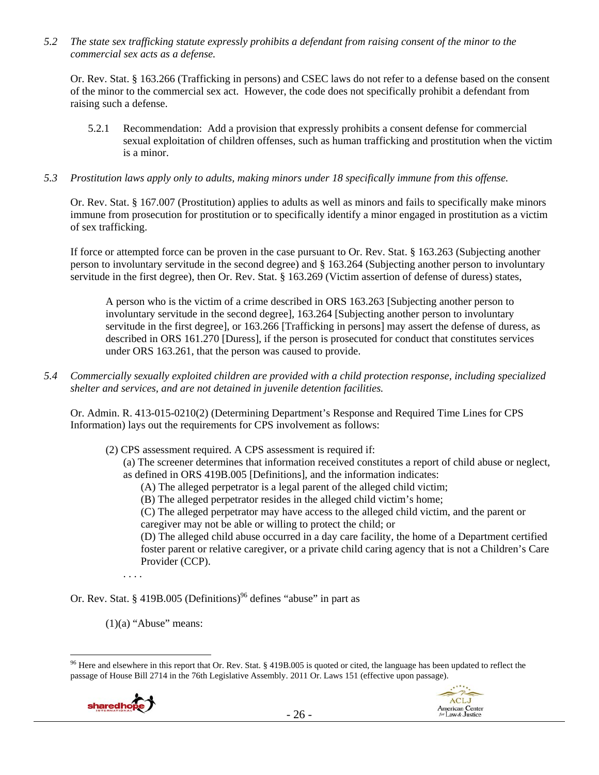*5.2 The state sex trafficking statute expressly prohibits a defendant from raising consent of the minor to the commercial sex acts as a defense.* 

Or. Rev. Stat. § 163.266 (Trafficking in persons) and CSEC laws do not refer to a defense based on the consent of the minor to the commercial sex act. However, the code does not specifically prohibit a defendant from raising such a defense.

- 5.2.1 Recommendation: Add a provision that expressly prohibits a consent defense for commercial sexual exploitation of children offenses, such as human trafficking and prostitution when the victim is a minor.
- *5.3 Prostitution laws apply only to adults, making minors under 18 specifically immune from this offense.*

Or. Rev. Stat. § 167.007 (Prostitution) applies to adults as well as minors and fails to specifically make minors immune from prosecution for prostitution or to specifically identify a minor engaged in prostitution as a victim of sex trafficking.

If force or attempted force can be proven in the case pursuant to Or. Rev. Stat. § 163.263 (Subjecting another person to involuntary servitude in the second degree) and § 163.264 (Subjecting another person to involuntary servitude in the first degree), then Or. Rev. Stat. § 163.269 (Victim assertion of defense of duress) states,

A person who is the victim of a crime described in ORS 163.263 [Subjecting another person to involuntary servitude in the second degree], 163.264 [Subjecting another person to involuntary servitude in the first degree], or 163.266 [Trafficking in persons] may assert the defense of duress, as described in ORS 161.270 [Duress], if the person is prosecuted for conduct that constitutes services under ORS 163.261, that the person was caused to provide.

*5.4 Commercially sexually exploited children are provided with a child protection response, including specialized shelter and services, and are not detained in juvenile detention facilities.* 

Or. Admin. R. 413-015-0210(2) (Determining Department's Response and Required Time Lines for CPS Information) lays out the requirements for CPS involvement as follows:

(2) CPS assessment required. A CPS assessment is required if:

(a) The screener determines that information received constitutes a report of child abuse or neglect, as defined in ORS 419B.005 [Definitions], and the information indicates:

- (A) The alleged perpetrator is a legal parent of the alleged child victim;
- (B) The alleged perpetrator resides in the alleged child victim's home;

(C) The alleged perpetrator may have access to the alleged child victim, and the parent or caregiver may not be able or willing to protect the child; or

(D) The alleged child abuse occurred in a day care facility, the home of a Department certified foster parent or relative caregiver, or a private child caring agency that is not a Children's Care Provider (CCP).

ACLJ

American Center<br>for Law & Justice

. . . .

- Or. Rev. Stat. § 419B.005 (Definitions)<sup>96</sup> defines "abuse" in part as
	- $(1)(a)$  "Abuse" means:

<sup>&</sup>lt;sup>96</sup> Here and elsewhere in this report that Or. Rev. Stat. § 419B.005 is quoted or cited, the language has been updated to reflect the passage of House Bill 2714 in the 76th Legislative Assembly. 2011 Or. Laws 151 (effective upon passage).

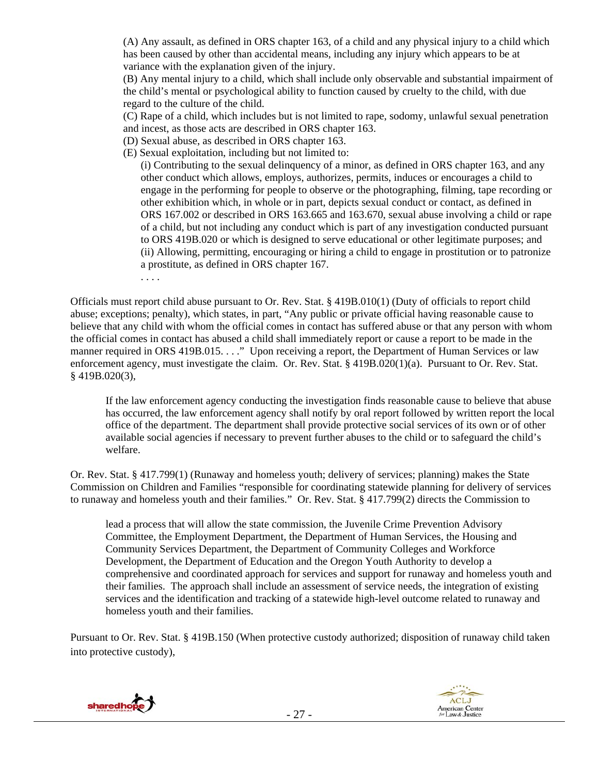(A) Any assault, as defined in ORS chapter 163, of a child and any physical injury to a child which has been caused by other than accidental means, including any injury which appears to be at variance with the explanation given of the injury.

(B) Any mental injury to a child, which shall include only observable and substantial impairment of the child's mental or psychological ability to function caused by cruelty to the child, with due regard to the culture of the child.

(C) Rape of a child, which includes but is not limited to rape, sodomy, unlawful sexual penetration and incest, as those acts are described in ORS chapter 163.

- (D) Sexual abuse, as described in ORS chapter 163.
- (E) Sexual exploitation, including but not limited to:

(i) Contributing to the sexual delinquency of a minor, as defined in ORS chapter 163, and any other conduct which allows, employs, authorizes, permits, induces or encourages a child to engage in the performing for people to observe or the photographing, filming, tape recording or other exhibition which, in whole or in part, depicts sexual conduct or contact, as defined in ORS 167.002 or described in ORS 163.665 and 163.670, sexual abuse involving a child or rape of a child, but not including any conduct which is part of any investigation conducted pursuant to ORS 419B.020 or which is designed to serve educational or other legitimate purposes; and (ii) Allowing, permitting, encouraging or hiring a child to engage in prostitution or to patronize a prostitute, as defined in ORS chapter 167.

. . . .

Officials must report child abuse pursuant to Or. Rev. Stat. § 419B.010(1) (Duty of officials to report child abuse; exceptions; penalty), which states, in part, "Any public or private official having reasonable cause to believe that any child with whom the official comes in contact has suffered abuse or that any person with whom the official comes in contact has abused a child shall immediately report or cause a report to be made in the manner required in ORS 419B.015. . . ." Upon receiving a report, the Department of Human Services or law enforcement agency, must investigate the claim. Or. Rev. Stat. § 419B.020(1)(a). Pursuant to Or. Rev. Stat. § 419B.020(3),

If the law enforcement agency conducting the investigation finds reasonable cause to believe that abuse has occurred, the law enforcement agency shall notify by oral report followed by written report the local office of the department. The department shall provide protective social services of its own or of other available social agencies if necessary to prevent further abuses to the child or to safeguard the child's welfare.

Or. Rev. Stat. § 417.799(1) (Runaway and homeless youth; delivery of services; planning) makes the State Commission on Children and Families "responsible for coordinating statewide planning for delivery of services to runaway and homeless youth and their families." Or. Rev. Stat. § 417.799(2) directs the Commission to

lead a process that will allow the state commission, the Juvenile Crime Prevention Advisory Committee, the Employment Department, the Department of Human Services, the Housing and Community Services Department, the Department of Community Colleges and Workforce Development, the Department of Education and the Oregon Youth Authority to develop a comprehensive and coordinated approach for services and support for runaway and homeless youth and their families. The approach shall include an assessment of service needs, the integration of existing services and the identification and tracking of a statewide high-level outcome related to runaway and homeless youth and their families.

Pursuant to Or. Rev. Stat. § 419B.150 (When protective custody authorized; disposition of runaway child taken into protective custody),



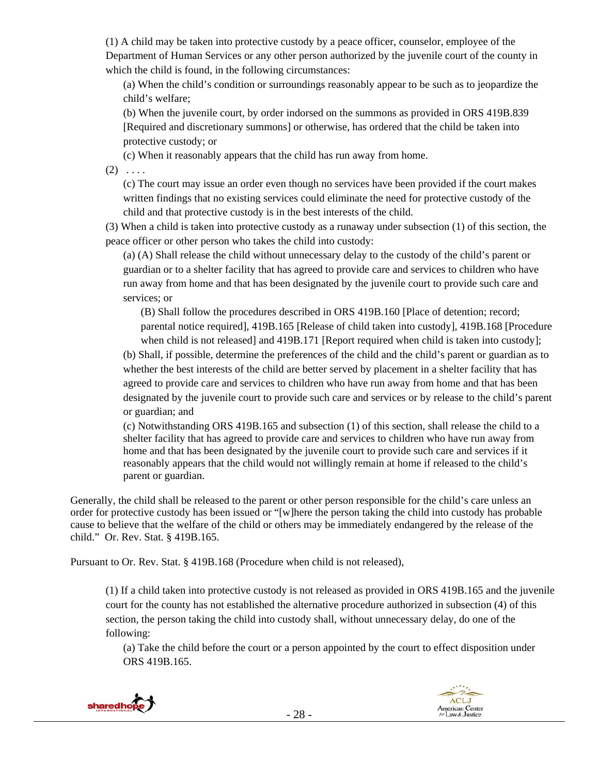(1) A child may be taken into protective custody by a peace officer, counselor, employee of the Department of Human Services or any other person authorized by the juvenile court of the county in which the child is found, in the following circumstances:

(a) When the child's condition or surroundings reasonably appear to be such as to jeopardize the child's welfare;

(b) When the juvenile court, by order indorsed on the summons as provided in ORS 419B.839 [Required and discretionary summons] or otherwise, has ordered that the child be taken into protective custody; or

(c) When it reasonably appears that the child has run away from home.

 $(2) \ldots$ 

(c) The court may issue an order even though no services have been provided if the court makes written findings that no existing services could eliminate the need for protective custody of the child and that protective custody is in the best interests of the child.

(3) When a child is taken into protective custody as a runaway under subsection (1) of this section, the peace officer or other person who takes the child into custody:

(a) (A) Shall release the child without unnecessary delay to the custody of the child's parent or guardian or to a shelter facility that has agreed to provide care and services to children who have run away from home and that has been designated by the juvenile court to provide such care and services; or

(B) Shall follow the procedures described in ORS 419B.160 [Place of detention; record; parental notice required], 419B.165 [Release of child taken into custody], 419B.168 [Procedure when child is not released] and 419B.171 [Report required when child is taken into custody];

(b) Shall, if possible, determine the preferences of the child and the child's parent or guardian as to whether the best interests of the child are better served by placement in a shelter facility that has agreed to provide care and services to children who have run away from home and that has been designated by the juvenile court to provide such care and services or by release to the child's parent or guardian; and

(c) Notwithstanding ORS 419B.165 and subsection (1) of this section, shall release the child to a shelter facility that has agreed to provide care and services to children who have run away from home and that has been designated by the juvenile court to provide such care and services if it reasonably appears that the child would not willingly remain at home if released to the child's parent or guardian.

Generally, the child shall be released to the parent or other person responsible for the child's care unless an order for protective custody has been issued or "[w]here the person taking the child into custody has probable cause to believe that the welfare of the child or others may be immediately endangered by the release of the child." Or. Rev. Stat. § 419B.165.

Pursuant to Or. Rev. Stat. § 419B.168 (Procedure when child is not released),

(1) If a child taken into protective custody is not released as provided in ORS 419B.165 and the juvenile court for the county has not established the alternative procedure authorized in subsection (4) of this section, the person taking the child into custody shall, without unnecessary delay, do one of the following:

(a) Take the child before the court or a person appointed by the court to effect disposition under ORS 419B.165.

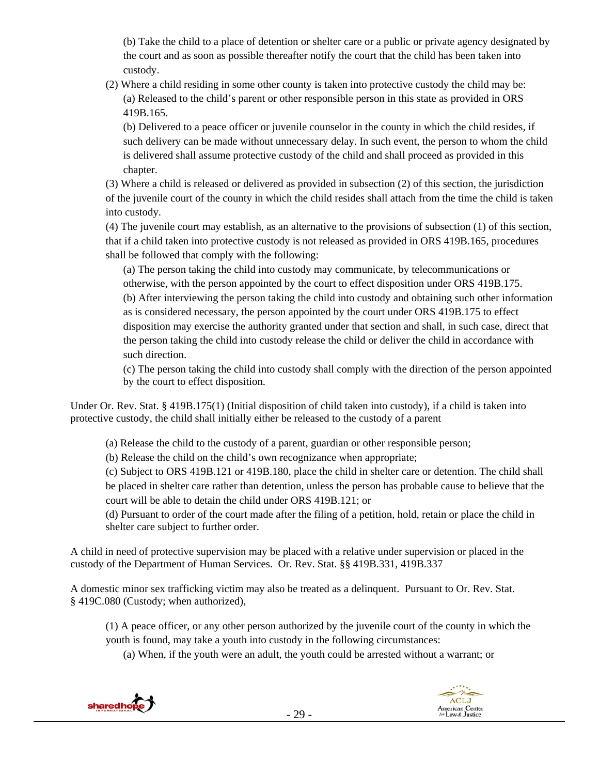(b) Take the child to a place of detention or shelter care or a public or private agency designated by the court and as soon as possible thereafter notify the court that the child has been taken into custody.

(2) Where a child residing in some other county is taken into protective custody the child may be: (a) Released to the child's parent or other responsible person in this state as provided in ORS 419B.165.

(b) Delivered to a peace officer or juvenile counselor in the county in which the child resides, if such delivery can be made without unnecessary delay. In such event, the person to whom the child is delivered shall assume protective custody of the child and shall proceed as provided in this chapter.

(3) Where a child is released or delivered as provided in subsection (2) of this section, the jurisdiction of the juvenile court of the county in which the child resides shall attach from the time the child is taken into custody.

(4) The juvenile court may establish, as an alternative to the provisions of subsection (1) of this section, that if a child taken into protective custody is not released as provided in ORS 419B.165, procedures shall be followed that comply with the following:

(a) The person taking the child into custody may communicate, by telecommunications or otherwise, with the person appointed by the court to effect disposition under ORS 419B.175. (b) After interviewing the person taking the child into custody and obtaining such other information as is considered necessary, the person appointed by the court under ORS 419B.175 to effect disposition may exercise the authority granted under that section and shall, in such case, direct that the person taking the child into custody release the child or deliver the child in accordance with such direction.

(c) The person taking the child into custody shall comply with the direction of the person appointed by the court to effect disposition.

Under Or. Rev. Stat. § 419B.175(1) (Initial disposition of child taken into custody), if a child is taken into protective custody, the child shall initially either be released to the custody of a parent

(a) Release the child to the custody of a parent, guardian or other responsible person;

(b) Release the child on the child's own recognizance when appropriate;

(c) Subject to ORS 419B.121 or 419B.180, place the child in shelter care or detention. The child shall be placed in shelter care rather than detention, unless the person has probable cause to believe that the court will be able to detain the child under ORS 419B.121; or

(d) Pursuant to order of the court made after the filing of a petition, hold, retain or place the child in shelter care subject to further order.

A child in need of protective supervision may be placed with a relative under supervision or placed in the custody of the Department of Human Services. Or. Rev. Stat. §§ 419B.331, 419B.337

A domestic minor sex trafficking victim may also be treated as a delinquent. Pursuant to Or. Rev. Stat. § 419C.080 (Custody; when authorized),

(1) A peace officer, or any other person authorized by the juvenile court of the county in which the youth is found, may take a youth into custody in the following circumstances:

(a) When, if the youth were an adult, the youth could be arrested without a warrant; or



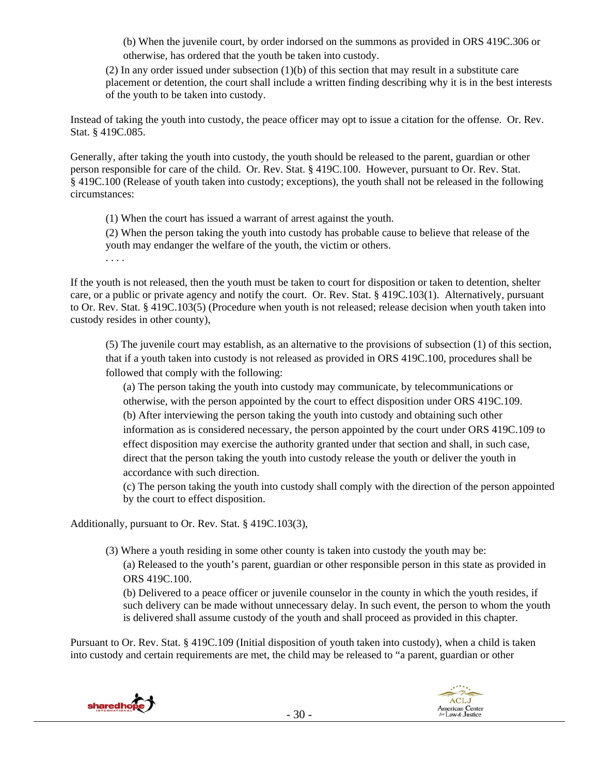(b) When the juvenile court, by order indorsed on the summons as provided in ORS 419C.306 or otherwise, has ordered that the youth be taken into custody.

(2) In any order issued under subsection (1)(b) of this section that may result in a substitute care placement or detention, the court shall include a written finding describing why it is in the best interests of the youth to be taken into custody.

Instead of taking the youth into custody, the peace officer may opt to issue a citation for the offense. Or. Rev. Stat. § 419C.085.

Generally, after taking the youth into custody, the youth should be released to the parent, guardian or other person responsible for care of the child. Or. Rev. Stat. § 419C.100. However, pursuant to Or. Rev. Stat. § 419C.100 (Release of youth taken into custody; exceptions), the youth shall not be released in the following circumstances:

(1) When the court has issued a warrant of arrest against the youth.

(2) When the person taking the youth into custody has probable cause to believe that release of the youth may endanger the welfare of the youth, the victim or others.

. . . .

If the youth is not released, then the youth must be taken to court for disposition or taken to detention, shelter care, or a public or private agency and notify the court. Or. Rev. Stat. § 419C.103(1). Alternatively, pursuant to Or. Rev. Stat. § 419C.103(5) (Procedure when youth is not released; release decision when youth taken into custody resides in other county),

(5) The juvenile court may establish, as an alternative to the provisions of subsection (1) of this section, that if a youth taken into custody is not released as provided in ORS 419C.100, procedures shall be followed that comply with the following:

(a) The person taking the youth into custody may communicate, by telecommunications or otherwise, with the person appointed by the court to effect disposition under ORS 419C.109. (b) After interviewing the person taking the youth into custody and obtaining such other information as is considered necessary, the person appointed by the court under ORS 419C.109 to effect disposition may exercise the authority granted under that section and shall, in such case, direct that the person taking the youth into custody release the youth or deliver the youth in accordance with such direction.

(c) The person taking the youth into custody shall comply with the direction of the person appointed by the court to effect disposition.

Additionally, pursuant to Or. Rev. Stat. § 419C.103(3),

(3) Where a youth residing in some other county is taken into custody the youth may be: (a) Released to the youth's parent, guardian or other responsible person in this state as provided in ORS 419C.100.

(b) Delivered to a peace officer or juvenile counselor in the county in which the youth resides, if such delivery can be made without unnecessary delay. In such event, the person to whom the youth is delivered shall assume custody of the youth and shall proceed as provided in this chapter.

Pursuant to Or. Rev. Stat. § 419C.109 (Initial disposition of youth taken into custody), when a child is taken into custody and certain requirements are met, the child may be released to "a parent, guardian or other



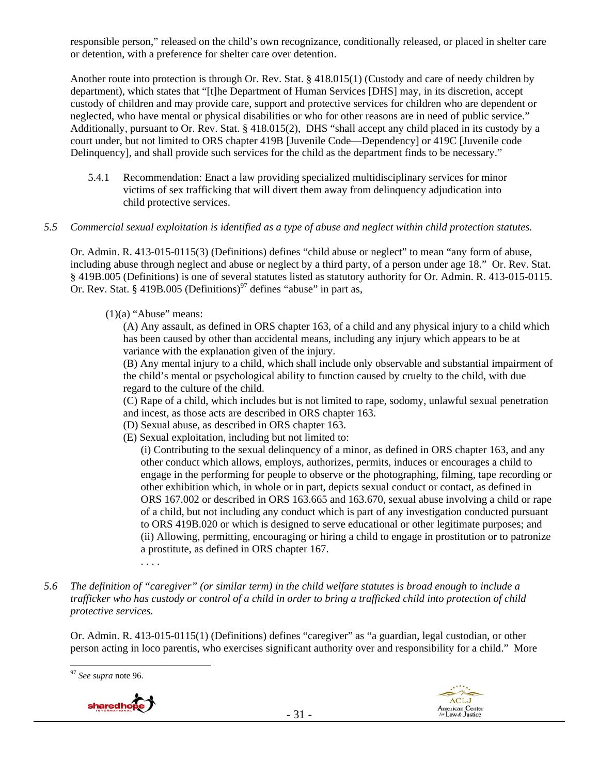responsible person," released on the child's own recognizance, conditionally released, or placed in shelter care or detention, with a preference for shelter care over detention.

Another route into protection is through Or. Rev. Stat. § 418.015(1) (Custody and care of needy children by department), which states that "[t]he Department of Human Services [DHS] may, in its discretion, accept custody of children and may provide care, support and protective services for children who are dependent or neglected, who have mental or physical disabilities or who for other reasons are in need of public service." Additionally, pursuant to Or. Rev. Stat. § 418.015(2), DHS "shall accept any child placed in its custody by a court under, but not limited to ORS chapter 419B [Juvenile Code—Dependency] or 419C [Juvenile code Delinquency], and shall provide such services for the child as the department finds to be necessary."

5.4.1 Recommendation: Enact a law providing specialized multidisciplinary services for minor victims of sex trafficking that will divert them away from delinquency adjudication into child protective services.

#### *5.5 Commercial sexual exploitation is identified as a type of abuse and neglect within child protection statutes.*

Or. Admin. R. 413-015-0115(3) (Definitions) defines "child abuse or neglect" to mean "any form of abuse, including abuse through neglect and abuse or neglect by a third party, of a person under age 18." Or. Rev. Stat. § 419B.005 (Definitions) is one of several statutes listed as statutory authority for Or. Admin. R. 413-015-0115. Or. Rev. Stat. § 419B.005 (Definitions)<sup>97</sup> defines "abuse" in part as,

 $(1)(a)$  "Abuse" means:

. . . .

(A) Any assault, as defined in ORS chapter 163, of a child and any physical injury to a child which has been caused by other than accidental means, including any injury which appears to be at variance with the explanation given of the injury.

(B) Any mental injury to a child, which shall include only observable and substantial impairment of the child's mental or psychological ability to function caused by cruelty to the child, with due regard to the culture of the child.

(C) Rape of a child, which includes but is not limited to rape, sodomy, unlawful sexual penetration and incest, as those acts are described in ORS chapter 163.

- (D) Sexual abuse, as described in ORS chapter 163.
- (E) Sexual exploitation, including but not limited to:

(i) Contributing to the sexual delinquency of a minor, as defined in ORS chapter 163, and any other conduct which allows, employs, authorizes, permits, induces or encourages a child to engage in the performing for people to observe or the photographing, filming, tape recording or other exhibition which, in whole or in part, depicts sexual conduct or contact, as defined in ORS 167.002 or described in ORS 163.665 and 163.670, sexual abuse involving a child or rape of a child, but not including any conduct which is part of any investigation conducted pursuant to ORS 419B.020 or which is designed to serve educational or other legitimate purposes; and (ii) Allowing, permitting, encouraging or hiring a child to engage in prostitution or to patronize a prostitute, as defined in ORS chapter 167.

*5.6 The definition of "caregiver" (or similar term) in the child welfare statutes is broad enough to include a trafficker who has custody or control of a child in order to bring a trafficked child into protection of child protective services.* 

Or. Admin. R. 413-015-0115(1) (Definitions) defines "caregiver" as "a guardian, legal custodian, or other person acting in loco parentis, who exercises significant authority over and responsibility for a child." More





<sup>97</sup> *See supra* note 96.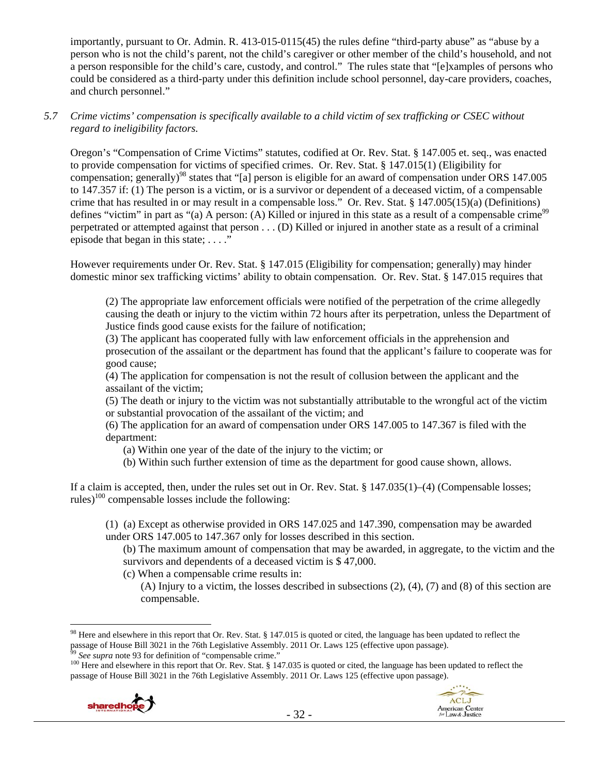importantly, pursuant to Or. Admin. R. 413-015-0115(45) the rules define "third-party abuse" as "abuse by a person who is not the child's parent, not the child's caregiver or other member of the child's household, and not a person responsible for the child's care, custody, and control." The rules state that "[e]xamples of persons who could be considered as a third-party under this definition include school personnel, day-care providers, coaches, and church personnel."

## *5.7 Crime victims' compensation is specifically available to a child victim of sex trafficking or CSEC without regard to ineligibility factors.*

Oregon's "Compensation of Crime Victims" statutes, codified at Or. Rev. Stat. § 147.005 et. seq., was enacted to provide compensation for victims of specified crimes. Or. Rev. Stat. § 147.015(1) (Eligibility for compensation; generally)<sup>98</sup> states that "[a] person is eligible for an award of compensation under ORS 147.005 to 147.357 if: (1) The person is a victim, or is a survivor or dependent of a deceased victim, of a compensable crime that has resulted in or may result in a compensable loss." Or. Rev. Stat. § 147.005(15)(a) (Definitions) defines "victim" in part as "(a) A person: (A) Killed or injured in this state as a result of a compensable crime<sup>99</sup> perpetrated or attempted against that person . . . (D) Killed or injured in another state as a result of a criminal episode that began in this state; ...."

However requirements under Or. Rev. Stat. § 147.015 (Eligibility for compensation; generally) may hinder domestic minor sex trafficking victims' ability to obtain compensation. Or. Rev. Stat. § 147.015 requires that

(2) The appropriate law enforcement officials were notified of the perpetration of the crime allegedly causing the death or injury to the victim within 72 hours after its perpetration, unless the Department of Justice finds good cause exists for the failure of notification;

(3) The applicant has cooperated fully with law enforcement officials in the apprehension and prosecution of the assailant or the department has found that the applicant's failure to cooperate was for good cause;

(4) The application for compensation is not the result of collusion between the applicant and the assailant of the victim;

(5) The death or injury to the victim was not substantially attributable to the wrongful act of the victim or substantial provocation of the assailant of the victim; and

(6) The application for an award of compensation under ORS 147.005 to 147.367 is filed with the department:

(a) Within one year of the date of the injury to the victim; or

(b) Within such further extension of time as the department for good cause shown, allows.

If a claim is accepted, then, under the rules set out in Or. Rev. Stat. § 147.035(1)–(4) (Compensable losses; rules)<sup>100</sup> compensable losses include the following:

(1) (a) Except as otherwise provided in ORS 147.025 and 147.390, compensation may be awarded under ORS 147.005 to 147.367 only for losses described in this section.

(b) The maximum amount of compensation that may be awarded, in aggregate, to the victim and the survivors and dependents of a deceased victim is \$47,000.

(c) When a compensable crime results in:

(A) Injury to a victim, the losses described in subsections (2), (4), (7) and (8) of this section are compensable.

passage of House Bill 3021 in the 76th Legislative Assembly. 2011 Or. Laws 125 (effective upon passage).





 $\overline{a}$ <sup>98</sup> Here and elsewhere in this report that Or. Rev. Stat. § 147.015 is quoted or cited, the language has been updated to reflect the passage of House Bill 3021 in the 76th Legislative Assembly. 2011 Or. Laws 125 (effective upon passage).<br><sup>99</sup> See supra note 93 for definition of "compensable crime."<br><sup>100</sup> Here and elsewhere in this report that Or. Rev. S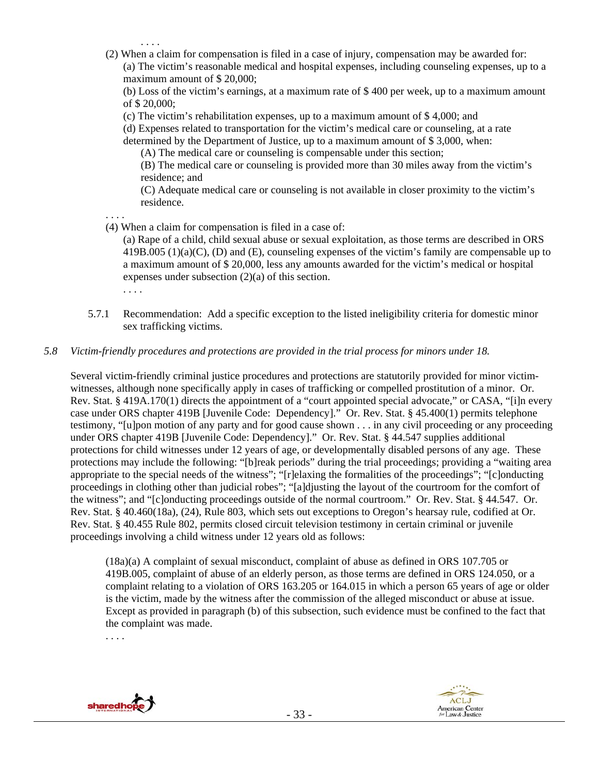. . . .

(2) When a claim for compensation is filed in a case of injury, compensation may be awarded for: (a) The victim's reasonable medical and hospital expenses, including counseling expenses, up to a maximum amount of \$ 20,000;

(b) Loss of the victim's earnings, at a maximum rate of \$ 400 per week, up to a maximum amount of \$ 20,000;

(c) The victim's rehabilitation expenses, up to a maximum amount of \$ 4,000; and

(d) Expenses related to transportation for the victim's medical care or counseling, at a rate

determined by the Department of Justice, up to a maximum amount of \$ 3,000, when:

(A) The medical care or counseling is compensable under this section;

(B) The medical care or counseling is provided more than 30 miles away from the victim's residence; and

(C) Adequate medical care or counseling is not available in closer proximity to the victim's residence.

- . . . .
- (4) When a claim for compensation is filed in a case of:

(a) Rape of a child, child sexual abuse or sexual exploitation, as those terms are described in ORS 419B.005 (1)(a)(C), (D) and (E), counseling expenses of the victim's family are compensable up to a maximum amount of \$ 20,000, less any amounts awarded for the victim's medical or hospital expenses under subsection (2)(a) of this section.

- . . . .
- 5.7.1 Recommendation: Add a specific exception to the listed ineligibility criteria for domestic minor sex trafficking victims.

## *5.8 Victim-friendly procedures and protections are provided in the trial process for minors under 18.*

Several victim-friendly criminal justice procedures and protections are statutorily provided for minor victimwitnesses, although none specifically apply in cases of trafficking or compelled prostitution of a minor. Or. Rev. Stat. § 419A.170(1) directs the appointment of a "court appointed special advocate," or CASA, "[i]n every case under ORS chapter 419B [Juvenile Code: Dependency]." Or. Rev. Stat. § 45.400(1) permits telephone testimony, "[u]pon motion of any party and for good cause shown . . . in any civil proceeding or any proceeding under ORS chapter 419B [Juvenile Code: Dependency]." Or. Rev. Stat. § 44.547 supplies additional protections for child witnesses under 12 years of age, or developmentally disabled persons of any age. These protections may include the following: "[b]reak periods" during the trial proceedings; providing a "waiting area appropriate to the special needs of the witness"; "[r]elaxing the formalities of the proceedings"; "[c]onducting proceedings in clothing other than judicial robes"; "[a]djusting the layout of the courtroom for the comfort of the witness"; and "[c]onducting proceedings outside of the normal courtroom." Or. Rev. Stat. § 44.547. Or. Rev. Stat. § 40.460(18a), (24), Rule 803, which sets out exceptions to Oregon's hearsay rule, codified at Or. Rev. Stat. § 40.455 Rule 802, permits closed circuit television testimony in certain criminal or juvenile proceedings involving a child witness under 12 years old as follows:

(18a)(a) A complaint of sexual misconduct, complaint of abuse as defined in ORS 107.705 or 419B.005, complaint of abuse of an elderly person, as those terms are defined in ORS 124.050, or a complaint relating to a violation of ORS 163.205 or 164.015 in which a person 65 years of age or older is the victim, made by the witness after the commission of the alleged misconduct or abuse at issue. Except as provided in paragraph (b) of this subsection, such evidence must be confined to the fact that the complaint was made.

. . . .



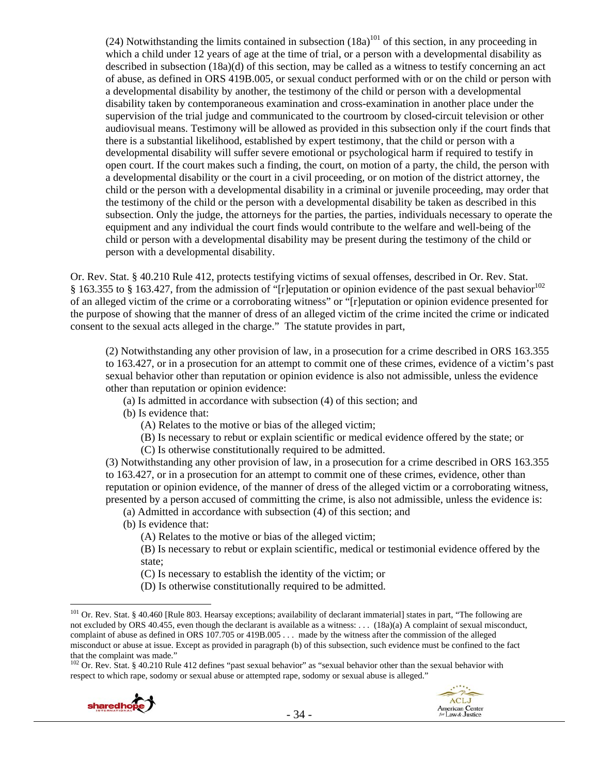(24) Notwithstanding the limits contained in subsection  $(18a)^{101}$  of this section, in any proceeding in which a child under 12 years of age at the time of trial, or a person with a developmental disability as described in subsection (18a)(d) of this section, may be called as a witness to testify concerning an act of abuse, as defined in ORS 419B.005, or sexual conduct performed with or on the child or person with a developmental disability by another, the testimony of the child or person with a developmental disability taken by contemporaneous examination and cross-examination in another place under the supervision of the trial judge and communicated to the courtroom by closed-circuit television or other audiovisual means. Testimony will be allowed as provided in this subsection only if the court finds that there is a substantial likelihood, established by expert testimony, that the child or person with a developmental disability will suffer severe emotional or psychological harm if required to testify in open court. If the court makes such a finding, the court, on motion of a party, the child, the person with a developmental disability or the court in a civil proceeding, or on motion of the district attorney, the child or the person with a developmental disability in a criminal or juvenile proceeding, may order that the testimony of the child or the person with a developmental disability be taken as described in this subsection. Only the judge, the attorneys for the parties, the parties, individuals necessary to operate the equipment and any individual the court finds would contribute to the welfare and well-being of the child or person with a developmental disability may be present during the testimony of the child or person with a developmental disability.

Or. Rev. Stat. § 40.210 Rule 412, protects testifying victims of sexual offenses, described in Or. Rev. Stat. § 163.355 to § 163.427, from the admission of "[r]eputation or opinion evidence of the past sexual behavior<sup>102</sup> of an alleged victim of the crime or a corroborating witness" or "[r]eputation or opinion evidence presented for the purpose of showing that the manner of dress of an alleged victim of the crime incited the crime or indicated consent to the sexual acts alleged in the charge." The statute provides in part,

(2) Notwithstanding any other provision of law, in a prosecution for a crime described in ORS 163.355 to 163.427, or in a prosecution for an attempt to commit one of these crimes, evidence of a victim's past sexual behavior other than reputation or opinion evidence is also not admissible, unless the evidence other than reputation or opinion evidence:

(a) Is admitted in accordance with subsection (4) of this section; and

(b) Is evidence that:

(A) Relates to the motive or bias of the alleged victim;

(B) Is necessary to rebut or explain scientific or medical evidence offered by the state; or

(C) Is otherwise constitutionally required to be admitted.

(3) Notwithstanding any other provision of law, in a prosecution for a crime described in ORS 163.355 to 163.427, or in a prosecution for an attempt to commit one of these crimes, evidence, other than reputation or opinion evidence, of the manner of dress of the alleged victim or a corroborating witness, presented by a person accused of committing the crime, is also not admissible, unless the evidence is:

- (a) Admitted in accordance with subsection (4) of this section; and
- (b) Is evidence that:

(A) Relates to the motive or bias of the alleged victim;

(B) Is necessary to rebut or explain scientific, medical or testimonial evidence offered by the state;

> نية ACLJ

American Center<br>for Law & Justice

(C) Is necessary to establish the identity of the victim; or

(D) Is otherwise constitutionally required to be admitted.

 $102$  Or. Rev. Stat. § 40.210 Rule 412 defines "past sexual behavior" as "sexual behavior other than the sexual behavior with respect to which rape, sodomy or sexual abuse or attempted rape, sodomy or sexual abuse is alleged."



<sup>&</sup>lt;sup>101</sup> Or. Rev. Stat. § 40.460 [Rule 803. Hearsay exceptions; availability of declarant immaterial] states in part, "The following are not excluded by ORS 40.455, even though the declarant is available as a witness: . . . (18a)(a) A complaint of sexual misconduct, complaint of abuse as defined in ORS 107.705 or 419B.005 . . . made by the witness after the commission of the alleged misconduct or abuse at issue. Except as provided in paragraph (b) of this subsection, such evidence must be confined to the fact that the complaint was made."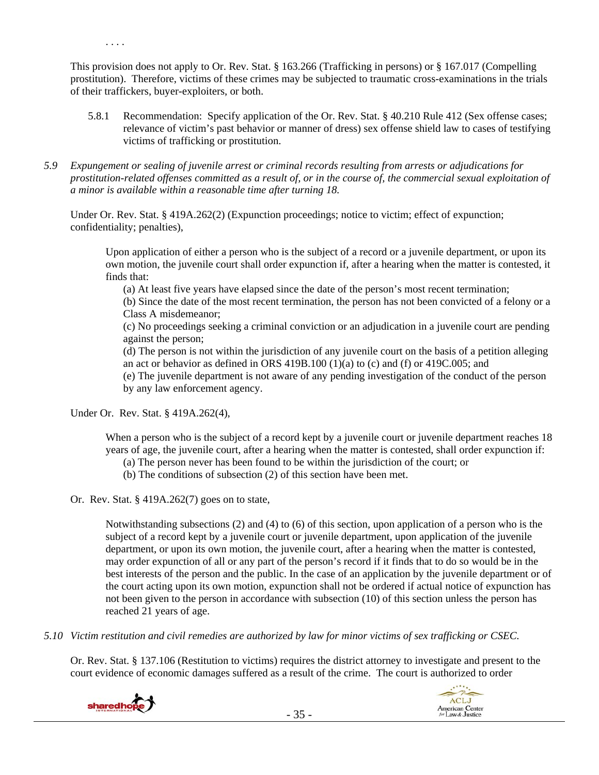This provision does not apply to Or. Rev. Stat. § 163.266 (Trafficking in persons) or § 167.017 (Compelling prostitution). Therefore, victims of these crimes may be subjected to traumatic cross-examinations in the trials of their traffickers, buyer-exploiters, or both.

- 5.8.1 Recommendation: Specify application of the Or. Rev. Stat. § 40.210 Rule 412 (Sex offense cases; relevance of victim's past behavior or manner of dress) sex offense shield law to cases of testifying victims of trafficking or prostitution.
- *5.9 Expungement or sealing of juvenile arrest or criminal records resulting from arrests or adjudications for prostitution-related offenses committed as a result of, or in the course of, the commercial sexual exploitation of a minor is available within a reasonable time after turning 18.*

Under Or. Rev. Stat. § 419A.262(2) (Expunction proceedings; notice to victim; effect of expunction; confidentiality; penalties),

Upon application of either a person who is the subject of a record or a juvenile department, or upon its own motion, the juvenile court shall order expunction if, after a hearing when the matter is contested, it finds that:

(a) At least five years have elapsed since the date of the person's most recent termination;

(b) Since the date of the most recent termination, the person has not been convicted of a felony or a Class A misdemeanor;

(c) No proceedings seeking a criminal conviction or an adjudication in a juvenile court are pending against the person;

(d) The person is not within the jurisdiction of any juvenile court on the basis of a petition alleging an act or behavior as defined in ORS 419B.100 (1)(a) to (c) and (f) or 419C.005; and

(e) The juvenile department is not aware of any pending investigation of the conduct of the person by any law enforcement agency.

Under Or. Rev. Stat. § 419A.262(4),

. . . .

When a person who is the subject of a record kept by a juvenile court or juvenile department reaches 18 years of age, the juvenile court, after a hearing when the matter is contested, shall order expunction if:

- (a) The person never has been found to be within the jurisdiction of the court; or
- (b) The conditions of subsection (2) of this section have been met.
- Or. Rev. Stat. § 419A.262(7) goes on to state,

Notwithstanding subsections (2) and (4) to (6) of this section, upon application of a person who is the subject of a record kept by a juvenile court or juvenile department, upon application of the juvenile department, or upon its own motion, the juvenile court, after a hearing when the matter is contested, may order expunction of all or any part of the person's record if it finds that to do so would be in the best interests of the person and the public. In the case of an application by the juvenile department or of the court acting upon its own motion, expunction shall not be ordered if actual notice of expunction has not been given to the person in accordance with subsection (10) of this section unless the person has reached 21 years of age.

*5.10 Victim restitution and civil remedies are authorized by law for minor victims of sex trafficking or CSEC.* 

Or. Rev. Stat. § 137.106 (Restitution to victims) requires the district attorney to investigate and present to the court evidence of economic damages suffered as a result of the crime. The court is authorized to order



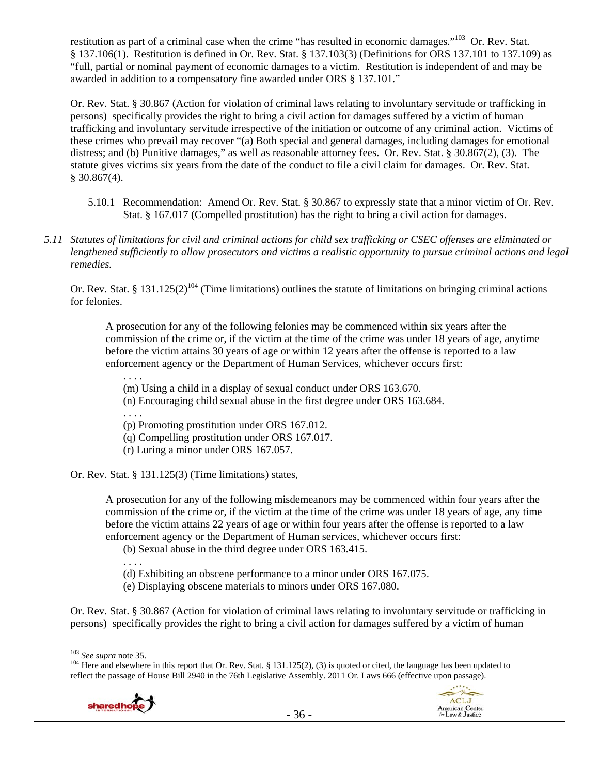restitution as part of a criminal case when the crime "has resulted in economic damages."<sup>103</sup> Or. Rev. Stat. § 137.106(1). Restitution is defined in Or. Rev. Stat. § 137.103(3) (Definitions for ORS 137.101 to 137.109) as "full, partial or nominal payment of economic damages to a victim. Restitution is independent of and may be awarded in addition to a compensatory fine awarded under ORS § 137.101."

Or. Rev. Stat. § 30.867 (Action for violation of criminal laws relating to involuntary servitude or trafficking in persons) specifically provides the right to bring a civil action for damages suffered by a victim of human trafficking and involuntary servitude irrespective of the initiation or outcome of any criminal action. Victims of these crimes who prevail may recover "(a) Both special and general damages, including damages for emotional distress; and (b) Punitive damages," as well as reasonable attorney fees. Or. Rev. Stat. § 30.867(2), (3). The statute gives victims six years from the date of the conduct to file a civil claim for damages. Or. Rev. Stat.  $§$  30.867(4).

- 5.10.1 Recommendation: Amend Or. Rev. Stat. § 30.867 to expressly state that a minor victim of Or. Rev. Stat. § 167.017 (Compelled prostitution) has the right to bring a civil action for damages.
- *5.11 Statutes of limitations for civil and criminal actions for child sex trafficking or CSEC offenses are eliminated or lengthened sufficiently to allow prosecutors and victims a realistic opportunity to pursue criminal actions and legal remedies.*

Or. Rev. Stat. § 131.125(2)<sup>104</sup> (Time limitations) outlines the statute of limitations on bringing criminal actions for felonies.

A prosecution for any of the following felonies may be commenced within six years after the commission of the crime or, if the victim at the time of the crime was under 18 years of age, anytime before the victim attains 30 years of age or within 12 years after the offense is reported to a law enforcement agency or the Department of Human Services, whichever occurs first:

(m) Using a child in a display of sexual conduct under ORS 163.670.

(n) Encouraging child sexual abuse in the first degree under ORS 163.684. . . . .

(p) Promoting prostitution under ORS 167.012.

- (q) Compelling prostitution under ORS 167.017.
- (r) Luring a minor under ORS 167.057.

Or. Rev. Stat. § 131.125(3) (Time limitations) states,

. . . .

. . . .

A prosecution for any of the following misdemeanors may be commenced within four years after the commission of the crime or, if the victim at the time of the crime was under 18 years of age, any time before the victim attains 22 years of age or within four years after the offense is reported to a law enforcement agency or the Department of Human services, whichever occurs first:

(b) Sexual abuse in the third degree under ORS 163.415.

(d) Exhibiting an obscene performance to a minor under ORS 167.075.

(e) Displaying obscene materials to minors under ORS 167.080.

Or. Rev. Stat. § 30.867 (Action for violation of criminal laws relating to involuntary servitude or trafficking in persons) specifically provides the right to bring a civil action for damages suffered by a victim of human

> $\mathbb{R}^{n \times n}$ **ACLJ**

American Center<br>for Law & Justice

<sup>&</sup>lt;sup>103</sup> *See supra* note 35.<br><sup>104</sup> Here and elsewhere in this report that Or. Rev. Stat. § 131.125(2), (3) is quoted or cited, the language has been updated to reflect the passage of House Bill 2940 in the 76th Legislative Assembly. 2011 Or. Laws 666 (effective upon passage).



 $\overline{a}$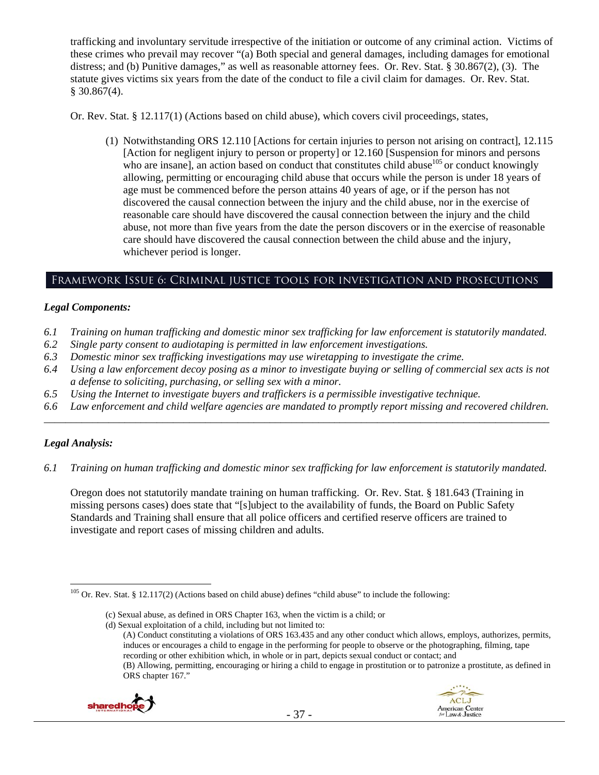trafficking and involuntary servitude irrespective of the initiation or outcome of any criminal action. Victims of these crimes who prevail may recover "(a) Both special and general damages, including damages for emotional distress; and (b) Punitive damages," as well as reasonable attorney fees. Or. Rev. Stat. § 30.867(2), (3). The statute gives victims six years from the date of the conduct to file a civil claim for damages. Or. Rev. Stat.  $$30.867(4)$ .

Or. Rev. Stat. § 12.117(1) (Actions based on child abuse), which covers civil proceedings, states,

(1) Notwithstanding ORS 12.110 [Actions for certain injuries to person not arising on contract], 12.115 [Action for negligent injury to person or property] or 12.160 [Suspension for minors and persons who are insane], an action based on conduct that constitutes child abuse $105$  or conduct knowingly allowing, permitting or encouraging child abuse that occurs while the person is under 18 years of age must be commenced before the person attains 40 years of age, or if the person has not discovered the causal connection between the injury and the child abuse, nor in the exercise of reasonable care should have discovered the causal connection between the injury and the child abuse, not more than five years from the date the person discovers or in the exercise of reasonable care should have discovered the causal connection between the child abuse and the injury, whichever period is longer.

# Framework Issue 6: Criminal justice tools for investigation and prosecutions

## *Legal Components:*

- *6.1 Training on human trafficking and domestic minor sex trafficking for law enforcement is statutorily mandated.*
- *6.2 Single party consent to audiotaping is permitted in law enforcement investigations.*
- *6.3 Domestic minor sex trafficking investigations may use wiretapping to investigate the crime.*
- *6.4 Using a law enforcement decoy posing as a minor to investigate buying or selling of commercial sex acts is not a defense to soliciting, purchasing, or selling sex with a minor.*
- *6.5 Using the Internet to investigate buyers and traffickers is a permissible investigative technique.*
- *6.6 Law enforcement and child welfare agencies are mandated to promptly report missing and recovered children. \_\_\_\_\_\_\_\_\_\_\_\_\_\_\_\_\_\_\_\_\_\_\_\_\_\_\_\_\_\_\_\_\_\_\_\_\_\_\_\_\_\_\_\_\_\_\_\_\_\_\_\_\_\_\_\_\_\_\_\_\_\_\_\_\_\_\_\_\_\_\_\_\_\_\_\_\_\_\_\_\_\_\_\_\_\_\_\_\_\_\_\_\_\_*

## *Legal Analysis:*

*6.1 Training on human trafficking and domestic minor sex trafficking for law enforcement is statutorily mandated.* 

Oregon does not statutorily mandate training on human trafficking. Or. Rev. Stat. § 181.643 (Training in missing persons cases) does state that "[s]ubject to the availability of funds, the Board on Public Safety Standards and Training shall ensure that all police officers and certified reserve officers are trained to investigate and report cases of missing children and adults.

<sup>(</sup>A) Conduct constituting a violations of ORS 163.435 and any other conduct which allows, employs, authorizes, permits, induces or encourages a child to engage in the performing for people to observe or the photographing, filming, tape recording or other exhibition which, in whole or in part, depicts sexual conduct or contact; and (B) Allowing, permitting, encouraging or hiring a child to engage in prostitution or to patronize a prostitute, as defined in ORS chapter 167."





 $\overline{a}$ <sup>105</sup> Or. Rev. Stat. § 12.117(2) (Actions based on child abuse) defines "child abuse" to include the following:

<sup>(</sup>c) Sexual abuse, as defined in ORS Chapter 163, when the victim is a child; or

<sup>(</sup>d) Sexual exploitation of a child, including but not limited to: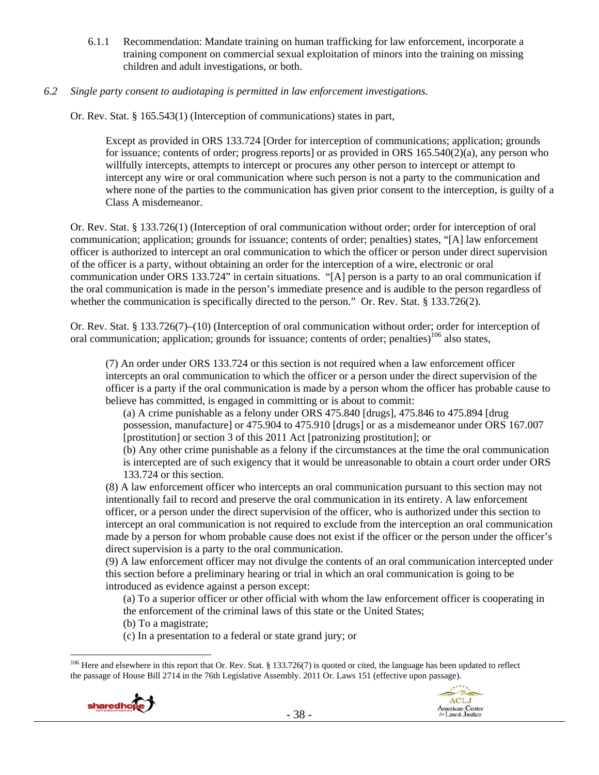6.1.1 Recommendation: Mandate training on human trafficking for law enforcement, incorporate a training component on commercial sexual exploitation of minors into the training on missing children and adult investigations, or both.

## *6.2 Single party consent to audiotaping is permitted in law enforcement investigations.*

Or. Rev. Stat. § 165.543(1) (Interception of communications) states in part,

Except as provided in ORS 133.724 [Order for interception of communications; application; grounds for issuance; contents of order; progress reports] or as provided in ORS 165.540(2)(a), any person who willfully intercepts, attempts to intercept or procures any other person to intercept or attempt to intercept any wire or oral communication where such person is not a party to the communication and where none of the parties to the communication has given prior consent to the interception, is guilty of a Class A misdemeanor.

Or. Rev. Stat. § 133.726(1) (Interception of oral communication without order; order for interception of oral communication; application; grounds for issuance; contents of order; penalties) states, "[A] law enforcement officer is authorized to intercept an oral communication to which the officer or person under direct supervision of the officer is a party, without obtaining an order for the interception of a wire, electronic or oral communication under ORS 133.724" in certain situations. "[A] person is a party to an oral communication if the oral communication is made in the person's immediate presence and is audible to the person regardless of whether the communication is specifically directed to the person." Or. Rev. Stat. § 133.726(2).

Or. Rev. Stat. § 133.726(7)–(10) (Interception of oral communication without order; order for interception of oral communication; application; grounds for issuance; contents of order; penalties)<sup>106</sup> also states,

(7) An order under ORS 133.724 or this section is not required when a law enforcement officer intercepts an oral communication to which the officer or a person under the direct supervision of the officer is a party if the oral communication is made by a person whom the officer has probable cause to believe has committed, is engaged in committing or is about to commit:

(a) A crime punishable as a felony under ORS 475.840 [drugs], 475.846 to 475.894 [drug possession, manufacture] or 475.904 to 475.910 [drugs] or as a misdemeanor under ORS 167.007 [prostitution] or section 3 of this 2011 Act [patronizing prostitution]; or

(b) Any other crime punishable as a felony if the circumstances at the time the oral communication is intercepted are of such exigency that it would be unreasonable to obtain a court order under ORS 133.724 or this section.

(8) A law enforcement officer who intercepts an oral communication pursuant to this section may not intentionally fail to record and preserve the oral communication in its entirety. A law enforcement officer, or a person under the direct supervision of the officer, who is authorized under this section to intercept an oral communication is not required to exclude from the interception an oral communication made by a person for whom probable cause does not exist if the officer or the person under the officer's direct supervision is a party to the oral communication.

(9) A law enforcement officer may not divulge the contents of an oral communication intercepted under this section before a preliminary hearing or trial in which an oral communication is going to be introduced as evidence against a person except:

(a) To a superior officer or other official with whom the law enforcement officer is cooperating in the enforcement of the criminal laws of this state or the United States;

(b) To a magistrate;

(c) In a presentation to a federal or state grand jury; or

 $106$  Here and elsewhere in this report that Or. Rev. Stat. § 133.726(7) is quoted or cited, the language has been updated to reflect the passage of House Bill 2714 in the 76th Legislative Assembly. 2011 Or. Laws 151 (effective upon passage).



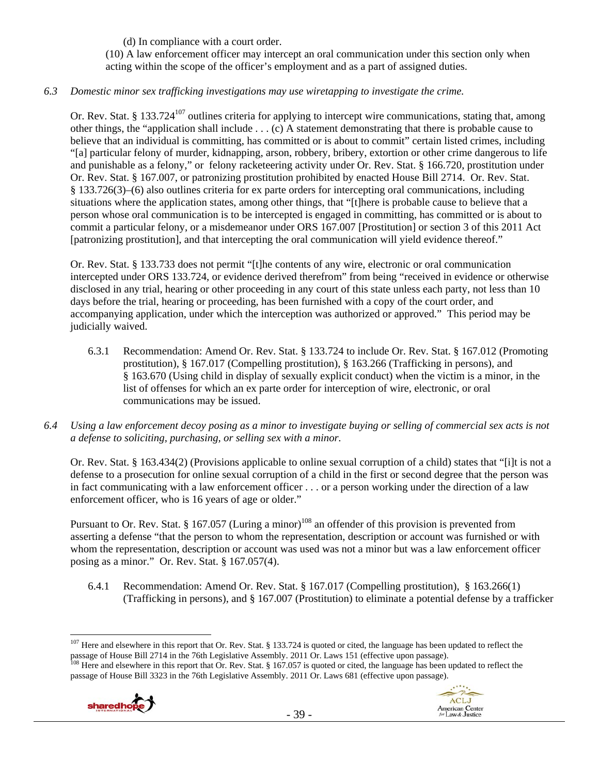(d) In compliance with a court order. (10) A law enforcement officer may intercept an oral communication under this section only when acting within the scope of the officer's employment and as a part of assigned duties.

## *6.3 Domestic minor sex trafficking investigations may use wiretapping to investigate the crime.*

Or. Rev. Stat. § 133.724<sup>107</sup> outlines criteria for applying to intercept wire communications, stating that, among other things, the "application shall include . . . (c) A statement demonstrating that there is probable cause to believe that an individual is committing, has committed or is about to commit" certain listed crimes, including "[a] particular felony of murder, kidnapping, arson, robbery, bribery, extortion or other crime dangerous to life and punishable as a felony," or felony racketeering activity under Or. Rev. Stat. § 166.720, prostitution under Or. Rev. Stat. § 167.007, or patronizing prostitution prohibited by enacted House Bill 2714. Or. Rev. Stat. § 133.726(3)–(6) also outlines criteria for ex parte orders for intercepting oral communications, including situations where the application states, among other things, that "[t]here is probable cause to believe that a person whose oral communication is to be intercepted is engaged in committing, has committed or is about to commit a particular felony, or a misdemeanor under ORS 167.007 [Prostitution] or section 3 of this 2011 Act [patronizing prostitution], and that intercepting the oral communication will yield evidence thereof."

Or. Rev. Stat. § 133.733 does not permit "[t]he contents of any wire, electronic or oral communication intercepted under ORS 133.724, or evidence derived therefrom" from being "received in evidence or otherwise disclosed in any trial, hearing or other proceeding in any court of this state unless each party, not less than 10 days before the trial, hearing or proceeding, has been furnished with a copy of the court order, and accompanying application, under which the interception was authorized or approved." This period may be judicially waived.

- 6.3.1 Recommendation: Amend Or. Rev. Stat. § 133.724 to include Or. Rev. Stat. § 167.012 (Promoting prostitution), § 167.017 (Compelling prostitution), § 163.266 (Trafficking in persons), and § 163.670 (Using child in display of sexually explicit conduct) when the victim is a minor, in the list of offenses for which an ex parte order for interception of wire, electronic, or oral communications may be issued.
- *6.4 Using a law enforcement decoy posing as a minor to investigate buying or selling of commercial sex acts is not a defense to soliciting, purchasing, or selling sex with a minor.*

Or. Rev. Stat. § 163.434(2) (Provisions applicable to online sexual corruption of a child) states that "[i]t is not a defense to a prosecution for online sexual corruption of a child in the first or second degree that the person was in fact communicating with a law enforcement officer . . . or a person working under the direction of a law enforcement officer, who is 16 years of age or older."

Pursuant to Or. Rev. Stat. § 167.057 (Luring a minor)<sup>108</sup> an offender of this provision is prevented from asserting a defense "that the person to whom the representation, description or account was furnished or with whom the representation, description or account was used was not a minor but was a law enforcement officer posing as a minor." Or. Rev. Stat. § 167.057(4).

6.4.1 Recommendation: Amend Or. Rev. Stat. § 167.017 (Compelling prostitution), § 163.266(1) (Trafficking in persons), and § 167.007 (Prostitution) to eliminate a potential defense by a trafficker

passage of House Bill 3323 in the 76th Legislative Assembly. 2011 Or. Laws 681 (effective upon passage).





 $\overline{a}$ <sup>107</sup> Here and elsewhere in this report that Or. Rev. Stat. § 133.724 is quoted or cited, the language has been updated to reflect the passage of House Bill 2714 in the 76th Legislative Assembly. 2011 Or. Laws 151 (effective upon passage).<br><sup>108</sup> Here and elsewhere in this report that Or. Rev. Stat. § 167.057 is quoted or cited, the language has been updat